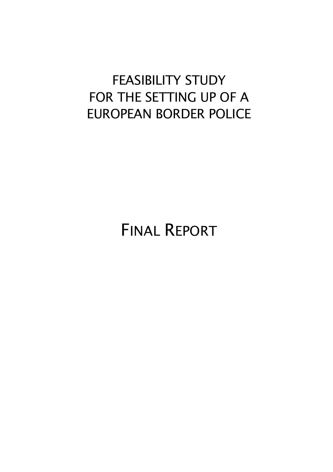# FEASIBILITY STUDY FOR THE SETTING UP OF A EUROPEAN BORDER POLICE

FINAL REPORT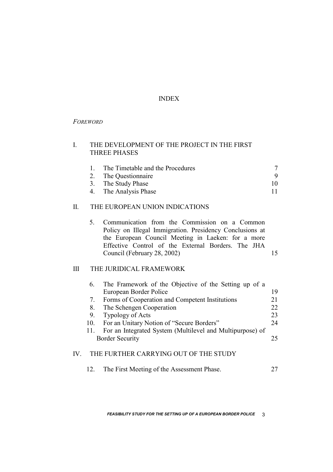# INDEX

#### *FOREWORD*

# I. THE DEVELOPMENT OF THE PROJECT IN THE FIRST THREE PHASES

| 1. The Timetable and the Procedures |  |
|-------------------------------------|--|
| 2. The Questionnaire                |  |
| 3. The Study Phase                  |  |
| 4. The Analysis Phase               |  |

# II. THE EUROPEAN UNION INDICATIONS

| 5. Communication from the Commission on a Common         |     |
|----------------------------------------------------------|-----|
| Policy on Illegal Immigration. Presidency Conclusions at |     |
| the European Council Meeting in Laeken: for a more       |     |
| Effective Control of the External Borders. The JHA       |     |
| Council (February 28, 2002)                              | 15. |

# III THE JURIDICAL FRAMEWORK

| $\mathbf{b}$ . | The Framework of the Objective of the Setting up of a     |    |
|----------------|-----------------------------------------------------------|----|
|                | European Border Police                                    | 19 |
| 7.             | Forms of Cooperation and Competent Institutions           |    |
| 8.             | The Schengen Cooperation                                  | 22 |
| 9.             | Typology of Acts                                          | 23 |
| 10.            | For an Unitary Notion of "Secure Borders"                 | 24 |
| 11.            | For an Integrated System (Multilevel and Multipurpose) of |    |
|                | <b>Border Security</b>                                    |    |
|                |                                                           |    |

# IV. THE FURTHER CARRYING OUT OF THE STUDY

12. The First Meeting of the Assessment Phase. 27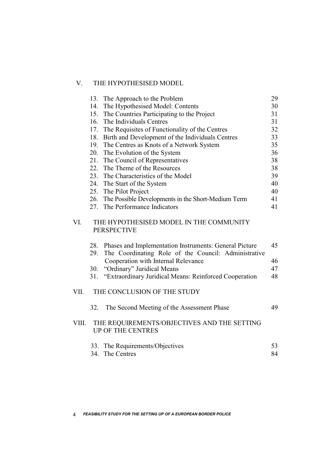## V. THE HYPOTHESISED MODEL

|       |                                                                         | 13. The Approach to the Problem                               | 29 |
|-------|-------------------------------------------------------------------------|---------------------------------------------------------------|----|
|       | 14.                                                                     | The Hypothesised Model: Contents                              | 30 |
|       |                                                                         | 15. The Countries Participating to the Project                | 31 |
|       |                                                                         | 16. The Individuals Centres                                   | 31 |
|       |                                                                         | 17. The Requisites of Functionality of the Centres            | 32 |
|       |                                                                         | 18. Birth and Development of the Individuals Centres          | 33 |
|       |                                                                         | 19. The Centres as Knots of a Network System                  | 35 |
|       | 20.                                                                     | The Evolution of the System                                   | 36 |
|       | 21.                                                                     | The Council of Representatives                                | 38 |
|       |                                                                         | 22. The Theme of the Resources                                | 38 |
|       |                                                                         | 23. The Characteristics of the Model                          | 39 |
|       |                                                                         | 24. The Start of the System                                   | 40 |
|       |                                                                         | 25. The Pilot Project                                         | 40 |
|       |                                                                         | 26. The Possible Developments in the Short-Medium Term        | 41 |
|       |                                                                         | 27. The Performance Indicators                                | 41 |
| VI.   |                                                                         | THE HYPOTHESISED MODEL IN THE COMMUNITY<br><b>PERSPECTIVE</b> |    |
|       | 28.                                                                     | Phases and Implementation Instruments: General Picture        | 45 |
|       | 29.                                                                     | The Coordinating Role of the Council: Administrative          |    |
|       |                                                                         | Cooperation with Internal Relevance                           | 46 |
|       | 30.                                                                     | "Ordinary" Juridical Means                                    | 47 |
|       | 31.                                                                     | "Extraordinary Juridical Means: Reinforced Cooperation        | 48 |
| VII.  | THE CONCLUSION OF THE STUDY                                             |                                                               |    |
|       | 32.                                                                     | The Second Meeting of the Assessment Phase                    | 49 |
| VIII. | THE REQUIREMENTS/OBJECTIVES AND THE SETTING<br><b>UP OF THE CENTRES</b> |                                                               |    |
|       |                                                                         | 33. The Requirements/Objectives                               | 53 |
|       | 34.                                                                     | The Centres                                                   | 84 |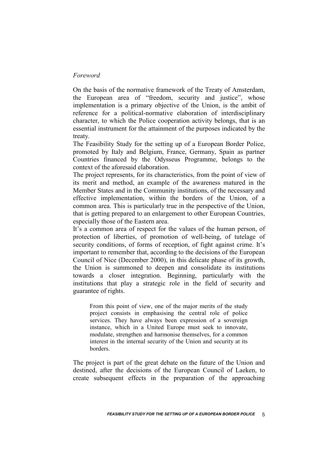## *Foreword*

On the basis of the normative framework of the Treaty of Amsterdam, the European area of "freedom, security and justice", whose implementation is a primary objective of the Union, is the ambit of reference for a political-normative elaboration of interdisciplinary character, to which the Police cooperation activity belongs, that is an essential instrument for the attainment of the purposes indicated by the treaty.

The Feasibility Study for the setting up of a European Border Police, promoted by Italy and Belgium, France, Germany, Spain as partner Countries financed by the Odysseus Programme, belongs to the context of the aforesaid elaboration.

The project represents, for its characteristics, from the point of view of its merit and method, an example of the awareness matured in the Member States and in the Community institutions, of the necessary and effective implementation, within the borders of the Union, of a common area. This is particularly true in the perspective of the Union, that is getting prepared to an enlargement to other European Countries, especially those of the Eastern area.

It's a common area of respect for the values of the human person, of protection of liberties, of promotion of well-being, of tutelage of security conditions, of forms of reception, of fight against crime. It's important to remember that, according to the decisions of the European Council of Nice (December 2000), in this delicate phase of its growth, the Union is summoned to deepen and consolidate its institutions towards a closer integration. Beginning, particularly with the institutions that play a strategic role in the field of security and guarantee of rights.

From this point of view, one of the major merits of the study project consists in emphasising the central role of police services. They have always been expression of a sovereign instance, which in a United Europe must seek to innovate, modulate, strengthen and harmonise themselves, for a common interest in the internal security of the Union and security at its borders.

The project is part of the great debate on the future of the Union and destined, after the decisions of the European Council of Laeken, to create subsequent effects in the preparation of the approaching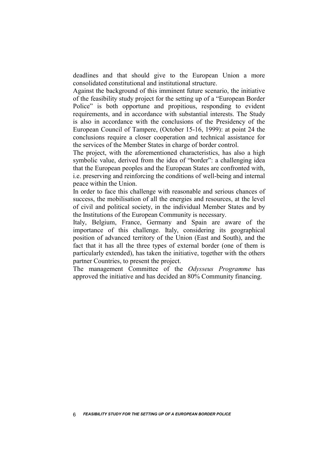deadlines and that should give to the European Union a more consolidated constitutional and institutional structure.

Against the background of this imminent future scenario, the initiative of the feasibility study project for the setting up of a "European Border Police" is both opportune and propitious, responding to evident requirements, and in accordance with substantial interests. The Study is also in accordance with the conclusions of the Presidency of the European Council of Tampere, (October 15-16, 1999): at point 24 the conclusions require a closer cooperation and technical assistance for the services of the Member States in charge of border control.

The project, with the aforementioned characteristics, has also a high symbolic value, derived from the idea of "border": a challenging idea that the European peoples and the European States are confronted with, i.e. preserving and reinforcing the conditions of well-being and internal peace within the Union.

In order to face this challenge with reasonable and serious chances of success, the mobilisation of all the energies and resources, at the level of civil and political society, in the individual Member States and by the Institutions of the European Community is necessary.

Italy, Belgium, France, Germany and Spain are aware of the importance of this challenge. Italy, considering its geographical position of advanced territory of the Union (East and South), and the fact that it has all the three types of external border (one of them is particularly extended), has taken the initiative, together with the others partner Countries, to present the project.

The management Committee of the *Odysseus Programme* has approved the initiative and has decided an 80% Community financing.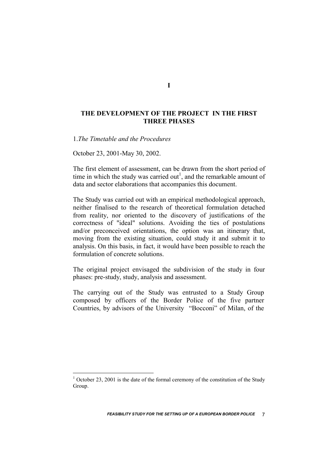# **THE DEVELOPMENT OF THE PROJECT IN THE FIRST THREE PHASES**

1.*The Timetable and the Procedures* 

October 23, 2001-May 30, 2002.

 $\overline{a}$ 

The first element of assessment, can be drawn from the short period of time in which the study was carried out<sup>1</sup>, and the remarkable amount of data and sector elaborations that accompanies this document.

The Study was carried out with an empirical methodological approach, neither finalised to the research of theoretical formulation detached from reality, nor oriented to the discovery of justifications of the correctness of "ideal" solutions. Avoiding the ties of postulations and/or preconceived orientations, the option was an itinerary that, moving from the existing situation, could study it and submit it to analysis. On this basis, in fact, it would have been possible to reach the formulation of concrete solutions.

The original project envisaged the subdivision of the study in four phases: pre-study, study, analysis and assessment.

The carrying out of the Study was entrusted to a Study Group composed by officers of the Border Police of the five partner Countries, by advisors of the University "Bocconi" of Milan, of the

 $1$  October 23, 2001 is the date of the formal ceremony of the constitution of the Study Group.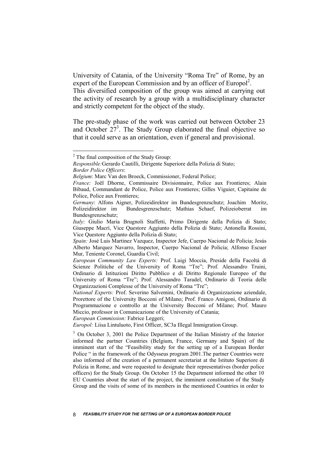University of Catania, of the University "Roma Tre" of Rome, by an expert of the European Commission and by an officer of Europol<sup>2</sup>.

This diversified composition of the group was aimed at carrying out the activity of research by a group with a multidisciplinary character and strictly competent for the object of the study.

The pre-study phase of the work was carried out between October 23 and October  $27<sup>3</sup>$ . The Study Group elaborated the final objective so that it could serve as an orientation, even if general and provisional.

*National Experts:* Prof. Severino Salvemini, Ordinario di Organizzazione aziendale, Prorettore of the University Bocconi of Milano; Prof. Franco Amigoni, Ordinario di Programmazione e controllo at the University Bocconi of Milano; Prof. Mauro Miccio, professor in Comunicazione of the University of Catania;

*Europol:* Liisa Lintuluoto, First Officer, SC3a Illegal Immigration Group.

<sup>3</sup> On October 3, 2001 the Police Department of the Italian Ministry of the Interior informed the partner Countries (Belgium, France, Germany and Spain) of the imminent start of the "Feasibility study for the setting up of a European Border Police " in the framework of the Odysseus program 2001.The partner Countries were also informed of the creation of a permanent secretariat at the Istituto Superiore di Polizia in Rome, and were requested to designate their representatives (border police officers) for the Study Group. On October 15 the Department informed the other 10 EU Countries about the start of the project, the imminent constitution of the Study Group and the visits of some of its members in the mentioned Countries in order to

<sup>&</sup>lt;sup>2</sup> The final composition of the Study Group:

*Responsible:*Gerardo Cautilli, Dirigente Superiore della Polizia di Stato; *Border Police Officers*:

*Belgium*: Marc Van den Broeck, Commissioner, Federal Police;

*France:* Joël Dhorne, Commissaire Divisionnaire, Police aux Frontieres; Alain Bibaud, Commandant de Police, Police aux Frontieres; Gilles Viguier, Capitaine de Police, Police aux Frontieres;

*Germany*: Alfons Aigner, Polizeidirektor im Bundesgrenzschutz; Joachim Moritz, Polizeidirektor im Bundesgrenzschutz; Mathias Schaef, Polizeioberrat im Bundesgrenzschutz;

*Italy*: Giulio Maria Brugnoli Staffetti, Primo Dirigente della Polizia di Stato; Giuseppe Macrì, Vice Questore Aggiunto della Polizia di Stato; Antonella Rossini, Vice Questore Aggiunto della Polizia di Stato;

*Spain:* José Luis Martinez Vazquez, Inspector Jefe, Cuerpo Nacional de Policia; Jesús Alberto Marquez Navarro, Inspector, Cuerpo Nacional de Policia; Alfonso Escuer Mur, Teniente Coronel, Guardia Civil;

*European Community Law Experts:* Prof. Luigi Moccia, Preside della Facoltà di Scienze Politiche of the University of Roma "Tre"; Prof. Alessandro Truini, Ordinario di Istituzioni Diritto Pubblico e di Diritto Regionale Europeo of the University of Roma "Tre"; Prof. Alessandro Taradel, Ordinario di Teoria delle Organizzazioni Complesse of the University of Roma "Tre";

*European Commission:* Fabrice Leggeri;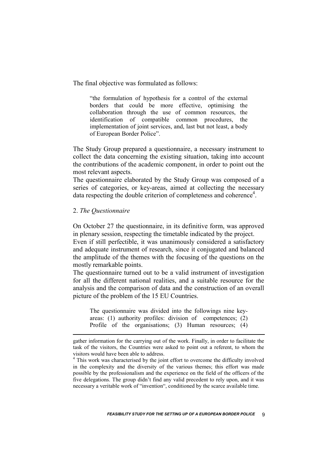The final objective was formulated as follows:

"the formulation of hypothesis for a control of the external borders that could be more effective, optimising the collaboration through the use of common resources, the identification of compatible common procedures, the implementation of joint services, and, last but not least, a body of European Border Police".

The Study Group prepared a questionnaire, a necessary instrument to collect the data concerning the existing situation, taking into account the contributions of the academic component, in order to point out the most relevant aspects.

The questionnaire elaborated by the Study Group was composed of a series of categories, or key-areas, aimed at collecting the necessary data respecting the double criterion of completeness and coherence<sup>4</sup>.

#### 2. *The Questionnaire*

 $\overline{a}$ 

On October 27 the questionnaire, in its definitive form, was approved in plenary session, respecting the timetable indicated by the project.

Even if still perfectible, it was unanimously considered a satisfactory and adequate instrument of research, since it conjugated and balanced the amplitude of the themes with the focusing of the questions on the mostly remarkable points.

The questionnaire turned out to be a valid instrument of investigation for all the different national realities, and a suitable resource for the analysis and the comparison of data and the construction of an overall picture of the problem of the 15 EU Countries.

The questionnaire was divided into the followings nine keyareas: (1) authority profiles: division of competences; (2) Profile of the organisations; (3) Human resources; (4)

gather information for the carrying out of the work. Finally, in order to facilitate the task of the visitors, the Countries were asked to point out a referent, to whom the visitors would have been able to address.

<sup>&</sup>lt;sup>4</sup> This work was characterised by the joint effort to overcome the difficulty involved in the complexity and the diversity of the various themes; this effort was made possible by the professionalism and the experience on the field of the officers of the five delegations. The group didn't find any valid precedent to rely upon, and it was necessary a veritable work of "invention", conditioned by the scarce available time.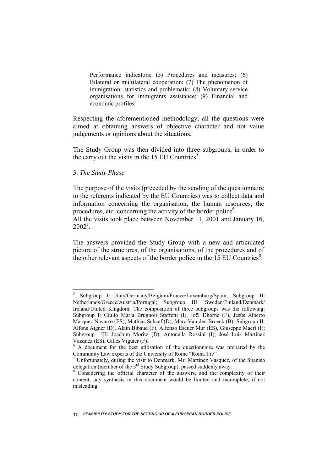Performance indicators; (5) Procedures and measures; (6) Bilateral or multilateral cooperation; (7) The phenomenon of immigration: statistics and problematic; (8) Voluntary service organisations for immigrants assistance; (9) Financial and economic profiles.

Respecting the aforementioned methodology, all the questions were aimed at obtaining answers of objective character and not value judgements or opinions about the situations.

The Study Group was then divided into three subgroups, in order to the carry out the visits in the  $15$  EU Countries<sup>5</sup>.

#### 3. *The Study Phase*

 $\overline{a}$ 

The purpose of the visits (preceded by the sending of the questionnaire to the referents indicated by the EU Countries) was to collect data and information concerning the organisation, the human resources, the procedures, etc. concerning the activity of the border police<sup>6</sup>.

All the visits took place between November 11, 2001 and January 16,  $2002^7$ .

The answers provided the Study Group with a new and articulated picture of the structures, of the organisations, of the procedures and of the other relevant aspects of the border police in the  $15$  EU Countries<sup>8</sup>.

<sup>5</sup> Subgroup I: Italy/Germany/Belgium/France/Luxemburg/Spain; Subgroup II: Netherlands/Greece/Austria/Portugal; Subgroup III: Sweden/Finland/Denmark/ Ireland/United Kingdom. The composition of three subgroups was the following: Subgroup I: Giulio Maria Brugnoli Staffetti (I), Joël Dhorne (F), Jesùs Alberto Marquez Navarro (ES), Mathias Schaef (D), Marc Van den Broeck (B); Subgroup II: Alfons Aigner (D), Alain Bibaud (F), Alfonso Escuer Mur (ES), Giuseppe Macrì (I); Subgroup III: Joachim Moritz (D), Antonella Rossini (I), José Luis Martinez Vazquez (ES), Gilles Viguier (F).

<sup>6</sup> A document for the best utilisation of the questionnaire was prepared by the Community Law experts of the University of Rome "Roma Tre".

<sup>7</sup> Unfortunately, during the visit to Denmark, Mr. Martinez Vasquez, of the Spanish delegation (member of the 3<sup>rd</sup> Study Subgroup), passed suddenly away.

Considering the official character of the answers, and the complexity of their content, any synthesis in this document would be limited and incomplete, if not misleading.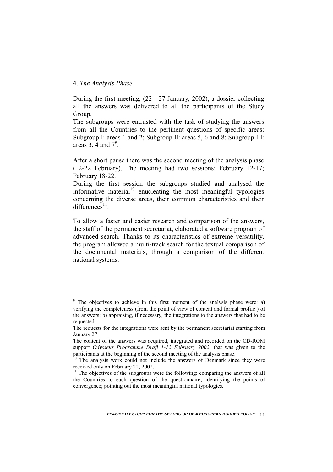#### 4. *The Analysis Phase*

 $\overline{a}$ 

During the first meeting, (22 - 27 January, 2002), a dossier collecting all the answers was delivered to all the participants of the Study Group.

The subgroups were entrusted with the task of studying the answers from all the Countries to the pertinent questions of specific areas: Subgroup I: areas 1 and 2; Subgroup II: areas 5, 6 and 8; Subgroup III: areas 3, 4 and  $7^9$ .

After a short pause there was the second meeting of the analysis phase (12-22 February). The meeting had two sessions: February 12-17; February 18-22.

During the first session the subgroups studied and analysed the informative material<sup>10</sup> enucleating the most meaningful typologies concerning the diverse areas, their common characteristics and their  $d$ ifferences<sup>11</sup>

To allow a faster and easier research and comparison of the answers, the staff of the permanent secretariat, elaborated a software program of advanced search. Thanks to its characteristics of extreme versatility, the program allowed a multi-track search for the textual comparison of the documental materials, through a comparison of the different national systems.

 $9$  The objectives to achieve in this first moment of the analysis phase were: a) verifying the completeness (from the point of view of content and formal profile ) of the answers; b) appraising, if necessary, the integrations to the answers that had to be requested.

The requests for the integrations were sent by the permanent secretariat starting from January 27.

The content of the answers was acquired, integrated and recorded on the CD-ROM support *Odysseus Programme Draft 1-12 February 2002*, that was given to the participants at the beginning of the second meeting of the analysis phase.

The analysis work could not include the answers of Denmark since they were received only on February 22, 2002.

 $11$  The objectives of the subgroups were the following: comparing the answers of all the Countries to each question of the questionnaire; identifying the points of convergence; pointing out the most meaningful national typologies.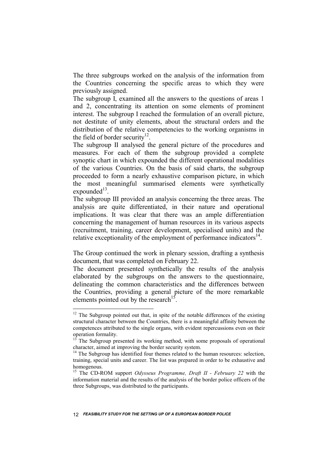The three subgroups worked on the analysis of the information from the Countries concerning the specific areas to which they were previously assigned.

The subgroup I, examined all the answers to the questions of areas 1 and 2, concentrating its attention on some elements of prominent interest. The subgroup I reached the formulation of an overall picture, not destitute of unity elements, about the structural orders and the distribution of the relative competencies to the working organisms in the field of border security $12$ .

The subgroup II analysed the general picture of the procedures and measures. For each of them the subgroup provided a complete synoptic chart in which expounded the different operational modalities of the various Countries. On the basis of said charts, the subgroup proceeded to form a nearly exhaustive comparison picture, in which the most meaningful summarised elements were synthetically expounded $13$ .

The subgroup III provided an analysis concerning the three areas. The analysis are quite differentiated, in their nature and operational implications. It was clear that there was an ample differentiation concerning the management of human resources in its various aspects (recruitment, training, career development, specialised units) and the relative exceptionality of the employment of performance indicators<sup> $14$ </sup>.

The Group continued the work in plenary session, drafting a synthesis document, that was completed on February 22.

The document presented synthetically the results of the analysis elaborated by the subgroups on the answers to the questionnaire, delineating the common characteristics and the differences between the Countries, providing a general picture of the more remarkable elements pointed out by the research<sup>15</sup>.

 $12$  The Subgroup pointed out that, in spite of the notable differences of the existing structural character between the Countries, there is a meaningful affinity between the competences attributed to the single organs, with evident repercussions even on their operation formality.

 $13$ <sup>13</sup> The Subgroup presented its working method, with some proposals of operational character, aimed at improving the border security system.

<sup>&</sup>lt;sup>14</sup> The Subgroup has identified four themes related to the human resources: selection, training, special units and career. The list was prepared in order to be exhaustive and homogenous.

<sup>15</sup> The CD-ROM support *Odysseus Programme, Draft II - February 22* with the information material and the results of the analysis of the border police officers of the three Subgroups, was distributed to the participants.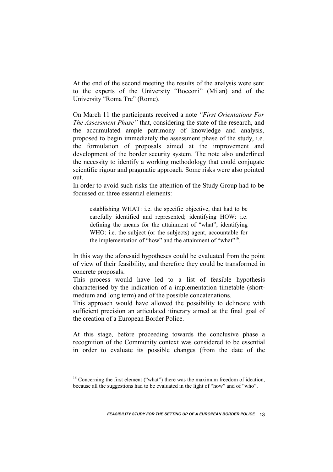At the end of the second meeting the results of the analysis were sent to the experts of the University "Bocconi" (Milan) and of the University "Roma Tre" (Rome).

On March 11 the participants received a note *"First Orientations For The Assessment Phase"* that, considering the state of the research, and the accumulated ample patrimony of knowledge and analysis, proposed to begin immediately the assessment phase of the study, i.e. the formulation of proposals aimed at the improvement and development of the border security system. The note also underlined the necessity to identify a working methodology that could conjugate scientific rigour and pragmatic approach. Some risks were also pointed out.

In order to avoid such risks the attention of the Study Group had to be focussed on three essential elements:

establishing WHAT: i.e. the specific objective, that had to be carefully identified and represented; identifying HOW: i.e. defining the means for the attainment of "what"; identifying WHO: i.e. the subject (or the subjects) agent, accountable for the implementation of "how" and the attainment of "what"<sup>16</sup>.

In this way the aforesaid hypotheses could be evaluated from the point of view of their feasibility, and therefore they could be transformed in concrete proposals.

This process would have led to a list of feasible hypothesis characterised by the indication of a implementation timetable (shortmedium and long term) and of the possible concatenations.

This approach would have allowed the possibility to delineate with sufficient precision an articulated itinerary aimed at the final goal of the creation of a European Border Police.

At this stage, before proceeding towards the conclusive phase a recognition of the Community context was considered to be essential in order to evaluate its possible changes (from the date of the

 $16$  Concerning the first element ("what") there was the maximum freedom of ideation, because all the suggestions had to be evaluated in the light of "how" and of "who".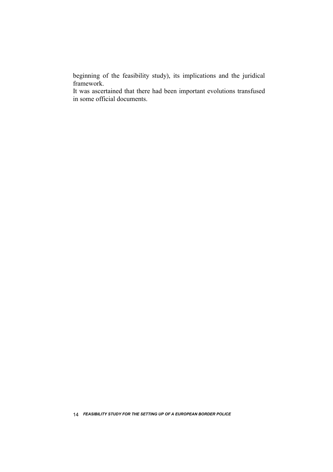beginning of the feasibility study), its implications and the juridical framework.

It was ascertained that there had been important evolutions transfused in some official documents.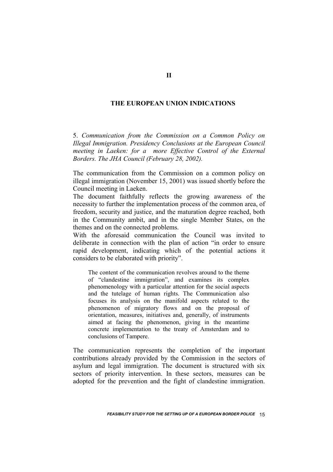## **THE EUROPEAN UNION INDICATIONS**

5. *Communication from the Commission on a Common Policy on Illegal Immigration. Presidency Conclusions at the European Council meeting in Laeken: for a more Effective Control of the External Borders. The JHA Council (February 28, 2002).*

The communication from the Commission on a common policy on illegal immigration (November 15, 2001) was issued shortly before the Council meeting in Laeken.

The document faithfully reflects the growing awareness of the necessity to further the implementation process of the common area, of freedom, security and justice, and the maturation degree reached, both in the Community ambit, and in the single Member States, on the themes and on the connected problems.

With the aforesaid communication the Council was invited to deliberate in connection with the plan of action "in order to ensure rapid development, indicating which of the potential actions it considers to be elaborated with priority".

The content of the communication revolves around to the theme of "clandestine immigration", and examines its complex phenomenology with a particular attention for the social aspects and the tutelage of human rights. The Communication also focuses its analysis on the manifold aspects related to the phenomenon of migratory flows and on the proposal of orientation, measures, initiatives and, generally, of instruments aimed at facing the phenomenon, giving in the meantime concrete implementation to the treaty of Amsterdam and to conclusions of Tampere.

The communication represents the completion of the important contributions already provided by the Commission in the sectors of asylum and legal immigration. The document is structured with six sectors of priority intervention. In these sectors, measures can be adopted for the prevention and the fight of clandestine immigration.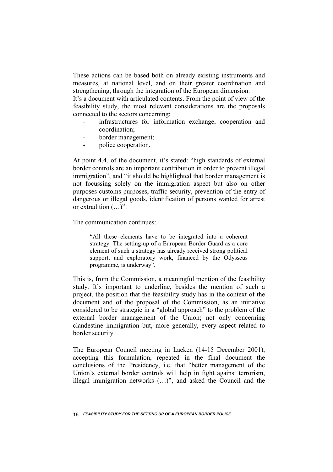These actions can be based both on already existing instruments and measures, at national level, and on their greater coordination and strengthening, through the integration of the European dimension.

It's a document with articulated contents. From the point of view of the feasibility study, the most relevant considerations are the proposals connected to the sectors concerning:

- infrastructures for information exchange, cooperation and coordination;
- border management;
- police cooperation.

At point 4.4. of the document, it's stated: "high standards of external border controls are an important contribution in order to prevent illegal immigration", and "it should be highlighted that border management is not focussing solely on the immigration aspect but also on other purposes customs purposes, traffic security, prevention of the entry of dangerous or illegal goods, identification of persons wanted for arrest or extradition (…)".

The communication continues:

"All these elements have to be integrated into a coherent strategy. The setting-up of a European Border Guard as a core element of such a strategy has already received strong political support, and exploratory work, financed by the Odysseus programme, is underway".

This is, from the Commission, a meaningful mention of the feasibility study. It's important to underline, besides the mention of such a project, the position that the feasibility study has in the context of the document and of the proposal of the Commission, as an initiative considered to be strategic in a "global approach" to the problem of the external border management of the Union; not only concerning clandestine immigration but, more generally, every aspect related to border security.

The European Council meeting in Laeken (14-15 December 2001), accepting this formulation, repeated in the final document the conclusions of the Presidency, i.e. that "better management of the Union's external border controls will help in fight against terrorism, illegal immigration networks (…)", and asked the Council and the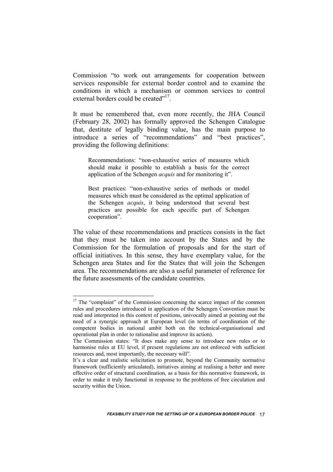Commission "to work out arrangements for cooperation between services responsible for external border control and to examine the conditions in which a mechanism or common services to control external borders could be created"<sup>17</sup>

It must be remembered that, even more recently, the JHA Council (February 28, 2002) has formally approved the Schengen Catalogue that, destitute of legally binding value, has the main purpose to introduce a series of "recommendations" and "best practices", providing the following definitions:

Recommendations: "non-exhaustive series of measures which should make it possible to establish a basis for the correct application of the Schengen *acquis* and for monitoring it".

Best practices: "non-exhaustive series of methods or model measures which must be considered as the optimal application of the Schengen *acquis*, it being understood that several best practices are possible for each specific part of Schengen cooperation".

The value of these recommendations and practices consists in the fact that they must be taken into account by the States and by the Commission for the formulation of proposals and for the start of official initiatives. In this sense, they have exemplary value, for the Schengen area States and for the States that will join the Schengen area. The recommendations are also a useful parameter of reference for the future assessments of the candidate countries.

 $17$  The "complaint" of the Commission concerning the scarce impact of the common rules and procedures introduced in application of the Schengen Convention must be read and interpreted in this context of positions, univocally aimed at pointing out the need of a synergic approach at European level (in terms of coordination of the competent bodies in national ambit both on the technical-organisational and operational plan in order to rationalise and improve its action).

The Commission states: "It does make any sense to introduce new rules or to harmonise rules at EU level, if present regulations are not enforced with sufficient resources and, most importantly, the necessary will".

It's a clear and realistic solicitation to promote, beyond the Community normative framework (sufficiently articulated), initiatives aiming at realising a better and more effective order of structural coordination, as a basis for this normative framework, in order to make it truly functional in response to the problems of free circulation and security within the Union.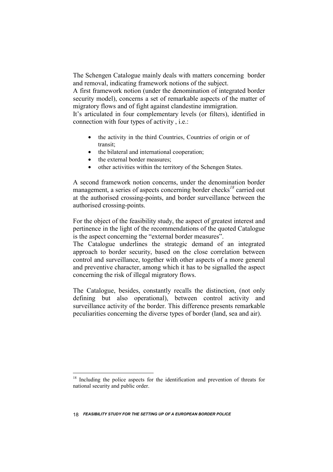The Schengen Catalogue mainly deals with matters concerning border and removal, indicating framework notions of the subject.

A first framework notion (under the denomination of integrated border security model), concerns a set of remarkable aspects of the matter of migratory flows and of fight against clandestine immigration.

It's articulated in four complementary levels (or filters), identified in connection with four types of activity , i.e.:

- the activity in the third Countries, Countries of origin or of transit;
- the bilateral and international cooperation;
- the external border measures:
- other activities within the territory of the Schengen States.

A second framework notion concerns, under the denomination border management, a series of aspects concerning border checks*<sup>18</sup>* carried out at the authorised crossing-points, and border surveillance between the authorised crossing-points.

For the object of the feasibility study, the aspect of greatest interest and pertinence in the light of the recommendations of the quoted Catalogue is the aspect concerning the "external border measures".

The Catalogue underlines the strategic demand of an integrated approach to border security, based on the close correlation between control and surveillance, together with other aspects of a more general and preventive character, among which it has to be signalled the aspect concerning the risk of illegal migratory flows.

The Catalogue, besides, constantly recalls the distinction, (not only defining but also operational), between control activity and surveillance activity of the border. This difference presents remarkable peculiarities concerning the diverse types of border (land, sea and air).

<sup>&</sup>lt;sup>18</sup> Including the police aspects for the identification and prevention of threats for national security and public order.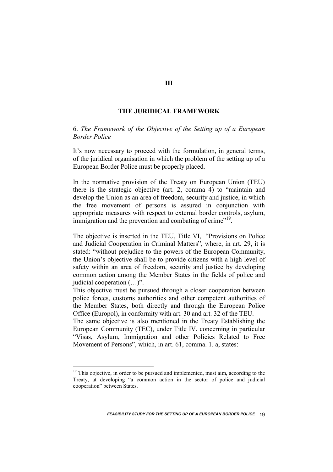#### **THE JURIDICAL FRAMEWORK**

6. *The Framework of the Objective of the Setting up of a European Border Police* 

It's now necessary to proceed with the formulation, in general terms, of the juridical organisation in which the problem of the setting up of a European Border Police must be properly placed.

In the normative provision of the Treaty on European Union (TEU) there is the strategic objective (art. 2, comma 4) to "maintain and develop the Union as an area of freedom, security and justice, in which the free movement of persons is assured in conjunction with appropriate measures with respect to external border controls, asylum, immigration and the prevention and combating of crime"<sup>19</sup>.

The objective is inserted in the TEU, Title VI, "Provisions on Police and Judicial Cooperation in Criminal Matters", where, in art. 29, it is stated: "without prejudice to the powers of the European Community, the Union's objective shall be to provide citizens with a high level of safety within an area of freedom, security and justice by developing common action among the Member States in the fields of police and judicial cooperation (…)".

This objective must be pursued through a closer cooperation between police forces, customs authorities and other competent authorities of the Member States, both directly and through the European Police Office (Europol), in conformity with art. 30 and art. 32 of the TEU.

The same objective is also mentioned in the Treaty Establishing the European Community (TEC), under Title IV, concerning in particular "Visas, Asylum, Immigration and other Policies Related to Free Movement of Persons", which, in art. 61, comma. 1. a, states:

 $19$ <sup>19</sup> This objective, in order to be pursued and implemented, must aim, according to the Treaty, at developing "a common action in the sector of police and judicial cooperation" between States.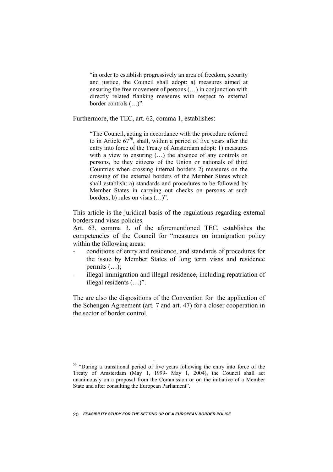"in order to establish progressively an area of freedom, security and justice, the Council shall adopt: a) measures aimed at ensuring the free movement of persons (…) in conjunction with directly related flanking measures with respect to external border controls (…)".

Furthermore, the TEC, art. 62, comma 1, establishes:

"The Council, acting in accordance with the procedure referred to in Article  $67^{20}$ , shall, within a period of five years after the entry into force of the Treaty of Amsterdam adopt: 1) measures with a view to ensuring (…) the absence of any controls on persons, be they citizens of the Union or nationals of third Countries when crossing internal borders 2) measures on the crossing of the external borders of the Member States which shall establish: a) standards and procedures to be followed by Member States in carrying out checks on persons at such borders; b) rules on visas (…)".

This article is the juridical basis of the regulations regarding external borders and visas policies.

Art. 63, comma 3, of the aforementioned TEC, establishes the competencies of the Council for "measures on immigration policy within the following areas:

- conditions of entry and residence, and standards of procedures for the issue by Member States of long term visas and residence permits  $(\ldots)$ ;
- illegal immigration and illegal residence, including repatriation of illegal residents (…)".

The are also the dispositions of the Convention for the application of the Schengen Agreement (art. 7 and art. 47) for a closer cooperation in the sector of border control.

<sup>&</sup>lt;sup>20</sup> "During a transitional period of five years following the entry into force of the Treaty of Amsterdam (May 1, 1999- May 1, 2004), the Council shall act unanimously on a proposal from the Commission or on the initiative of a Member State and after consulting the European Parliament".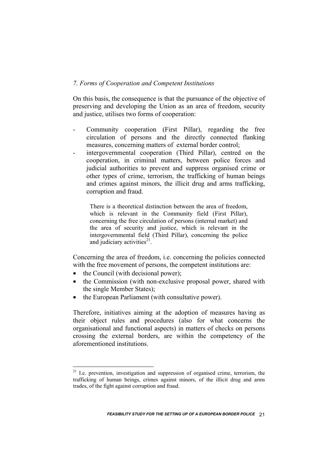# *7. Forms of Cooperation and Competent Institutions*

On this basis, the consequence is that the pursuance of the objective of preserving and developing the Union as an area of freedom, security and justice, utilises two forms of cooperation:

- Community cooperation (First Pillar), regarding the free circulation of persons and the directly connected flanking measures, concerning matters of external border control;
- intergovernmental cooperation (Third Pillar), centred on the cooperation, in criminal matters, between police forces and judicial authorities to prevent and suppress organised crime or other types of crime, terrorism, the trafficking of human beings and crimes against minors, the illicit drug and arms trafficking, corruption and fraud.

There is a theoretical distinction between the area of freedom, which is relevant in the Community field (First Pillar), concerning the free circulation of persons (internal market) and the area of security and justice, which is relevant in the intergovernmental field (Third Pillar), concerning the police and judiciary activities $2<sup>1</sup>$ .

Concerning the area of freedom, i.e. concerning the policies connected with the free movement of persons, the competent institutions are:

• the Council (with decisional power);

 $\overline{a}$ 

- the Commission (with non-exclusive proposal power, shared with the single Member States);
- the European Parliament (with consultative power).

Therefore, initiatives aiming at the adoption of measures having as their object rules and procedures (also for what concerns the organisational and functional aspects) in matters of checks on persons crossing the external borders, are within the competency of the aforementioned institutions.

 $21$  I.e. prevention, investigation and suppression of organised crime, terrorism, the trafficking of human beings, crimes against minors, of the illicit drug and arms trades, of the fight against corruption and fraud.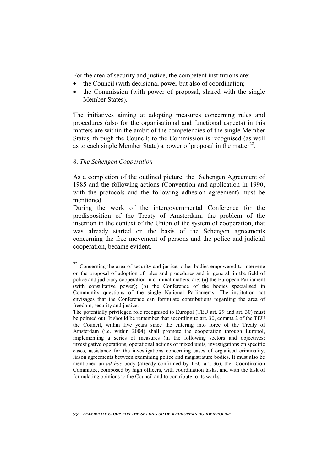For the area of security and justice, the competent institutions are:

- the Council (with decisional power but also of coordination;
- the Commission (with power of proposal, shared with the single Member States).

The initiatives aiming at adopting measures concerning rules and procedures (also for the organisational and functional aspects) in this matters are within the ambit of the competencies of the single Member States, through the Council; to the Commission is recognised (as well as to each single Member State) a power of proposal in the matter  $2^2$ .

## 8. *The Schengen Cooperation*

 $\overline{a}$ 

As a completion of the outlined picture, the Schengen Agreement of 1985 and the following actions (Convention and application in 1990, with the protocols and the following adhesion agreement) must be mentioned.

During the work of the intergovernmental Conference for the predisposition of the Treaty of Amsterdam, the problem of the insertion in the context of the Union of the system of cooperation, that was already started on the basis of the Schengen agreements concerning the free movement of persons and the police and judicial cooperation, became evident.

 $22$  Concerning the area of security and justice, other bodies empowered to intervene on the proposal of adoption of rules and procedures and in general, in the field of police and judiciary cooperation in criminal matters, are: (a) the European Parliament (with consultative power); (b) the Conference of the bodies specialised in Community questions of the single National Parliaments. The institution act envisages that the Conference can formulate contributions regarding the area of freedom, security and justice.

The potentially privileged role recognised to Europol (TEU art. 29 and art. 30) must be pointed out. It should be remember that according to art. 30, comma 2 of the TEU the Council, within five years since the entering into force of the Treaty of Amsterdam (i.e. within 2004) shall promote the cooperation through Europol, implementing a series of measures (in the following sectors and objectives: investigative operations, operational actions of mixed units, investigations on specific cases, assistance for the investigations concerning cases of organised criminality, liason agreements between examining police and magistrature bodies. It must also be mentioned an *ad hoc* body (already confirmed by TEU art. 36), the Coordination Committee, composed by high officers, with coordination tasks, and with the task of formulating opinions to the Council and to contribute to its works.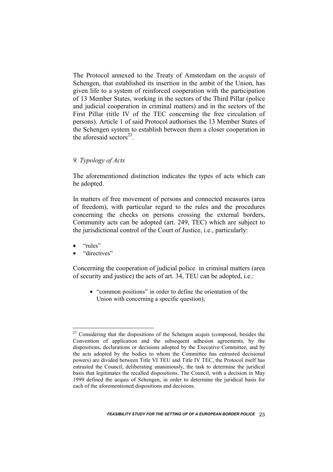The Protocol annexed to the Treaty of Amsterdam on the *acquis* of Schengen, that established its insertion in the ambit of the Union, has given life to a system of reinforced cooperation with the participation of 13 Member States, working in the sectors of the Third Pillar (police and judicial cooperation in criminal matters) and in the sectors of the First Pillar (title IV of the TEC concerning the free circulation of persons). Article 1 of said Protocol authorises the 13 Member States of the Schengen system to establish between them a closer cooperation in the aforesaid sectors $^{23}$ .

## *9. Typology of Acts*

The aforementioned distinction indicates the types of acts which can be adopted.

In matters of free movement of persons and connected measures (area of freedom), with particular regard to the rules and the procedures concerning the checks on persons crossing the external borders, Community acts can be adopted (art. 249, TEC) which are subject to the jurisdictional control of the Court of Justice, i.e., particularly:

• "rules"

 $\overline{a}$ 

• "directives"

Concerning the cooperation of judicial police in criminal matters (area of security and justice) the acts of art. 34, TEU can be adopted, i.e.:

• "common positions" in order to define the orientation of the Union with concerning a specific question);

<sup>&</sup>lt;sup>23</sup> Considering that the dispositions of the Schengen acquis (composed, besides the Convention of application and the subsequent adhesion agreements, by the dispositions, declarations or decisions adopted by the Executive Committee, and by the acts adopted by the bodies to whom the Committee has entrusted decisional powers) are divided between Title VI TEU and Title IV TEC, the Protocol itself has entrusted the Council, deliberating unanimously, the task to determine the juridical basis that legitimates the recalled dispositions. The Council, with a decision in May 1999 defined the acquis of Schengen, in order to determine the juridical basis for each of the aforementioned dispositions and decisions.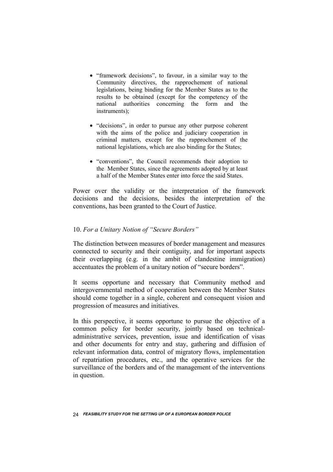- "framework decisions", to favour, in a similar way to the Community directives, the rapprochement of national legislations, being binding for the Member States as to the results to be obtained (except for the competency of the national authorities concerning the form and the instruments);
- "decisions", in order to pursue any other purpose coherent with the aims of the police and judiciary cooperation in criminal matters, except for the rapprochement of the national legislations, which are also binding for the States;
- "conventions", the Council recommends their adoption to the Member States, since the agreements adopted by at least a half of the Member States enter into force the said States.

Power over the validity or the interpretation of the framework decisions and the decisions, besides the interpretation of the conventions, has been granted to the Court of Justice.

# 10. *For a Unitary Notion of "Secure Borders"*

The distinction between measures of border management and measures connected to security and their contiguity, and for important aspects their overlapping (e.g. in the ambit of clandestine immigration) accentuates the problem of a unitary notion of "secure borders".

It seems opportune and necessary that Community method and intergovernmental method of cooperation between the Member States should come together in a single, coherent and consequent vision and progression of measures and initiatives.

In this perspective, it seems opportune to pursue the objective of a common policy for border security, jointly based on technicaladministrative services, prevention, issue and identification of visas and other documents for entry and stay, gathering and diffusion of relevant information data, control of migratory flows, implementation of repatriation procedures, etc., and the operative services for the surveillance of the borders and of the management of the interventions in question.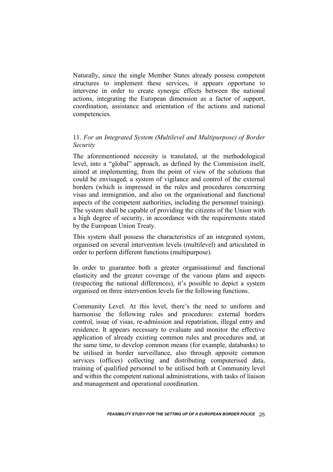Naturally, since the single Member States already possess competent structures to implement these services, it appears opportune to intervene in order to create synergic effects between the national actions, integrating the European dimension as a factor of support, coordination, assistance and orientation of the actions and national competencies.

# 11. *For an Integrated System (Multilevel and Multipurpose) of Border Security*

The aforementioned necessity is translated, at the methodological level, into a "global" approach, as defined by the Commission itself, aimed at implementing, from the point of view of the solutions that could be envisaged, a system of vigilance and control of the external borders (which is impressed in the rules and procedures concerning visas and immigration, and also on the organisational and functional aspects of the competent authorities, including the personnel training). The system shall be capable of providing the citizens of the Union with a high degree of security, in accordance with the requirements stated by the European Union Treaty.

This system shall possess the characteristics of an integrated system, organised on several intervention levels (multilevel) and articulated in order to perform different functions (multipurpose).

In order to guarantee both a greater organisational and functional elasticity and the greater coverage of the various plans and aspects (respecting the national differences), it's possible to depict a system organised on three intervention levels for the following functions.

Community Level. At this level, there's the need to uniform and harmonise the following rules and procedures: external borders control, issue of visas, re-admission and repatriation, illegal entry and residence. It appears necessary to evaluate and monitor the effective application of already existing common rules and procedures and, at the same time, to develop common means (for example, databanks) to be utilised in border surveillance, also through apposite common services (offices) collecting and distributing computerised data, training of qualified personnel to be utilised both at Community level and within the competent national administrations, with tasks of liaison and management and operational coordination.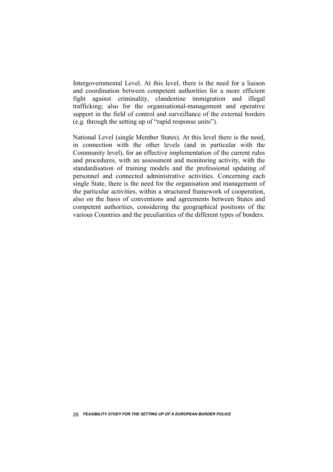Intergovernmental Level. At this level, there is the need for a liaison and coordination between competent authorities for a more efficient fight against criminality, clandestine immigration and illegal trafficking; also for the organisational-management and operative support in the field of control and surveillance of the external borders (e.g. through the setting up of "rapid response units").

National Level (single Member States). At this level there is the need, in connection with the other levels (and in particular with the Community level), for an effective implementation of the current rules and procedures, with an assessment and monitoring activity, with the standardisation of training models and the professional updating of personnel and connected administrative activities. Concerning each single State, there is the need for the organisation and management of the particular activities, within a structured framework of cooperation, also on the basis of conventions and agreements between States and competent authorities, considering the geographical positions of the various Countries and the peculiarities of the different types of borders.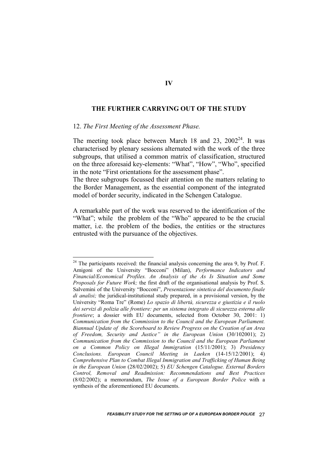#### **THE FURTHER CARRYING OUT OF THE STUDY**

#### 12. *The First Meeting of the Assessment Phase.*

 $\overline{a}$ 

The meeting took place between March 18 and 23,  $2002^{24}$ . It was characterised by plenary sessions alternated with the work of the three subgroups, that utilised a common matrix of classification, structured on the three aforesaid key-elements: "What", "How", "Who", specified in the note "First orientations for the assessment phase".

The three subgroups focussed their attention on the matters relating to the Border Management, as the essential component of the integrated model of border security, indicated in the Schengen Catalogue.

A remarkable part of the work was reserved to the identification of the "What"; while the problem of the "Who" appeared to be the crucial matter, i.e. the problem of the bodies, the entities or the structures entrusted with the pursuance of the objectives.

 $2<sup>24</sup>$  The participants received: the financial analysis concerning the area 9, by Prof. F. Amigoni of the University "Bocconi" (Milan), *Performance Indicators and Financial/Economical Profiles. An Analysis of the As Is Situation and Some Proposals for Future Work;* the first draft of the organisational analysis by Prof. S. Salvemini of the University "Bocconi", *Presentazione sintetica del documento finale di analisi;* the juridical-institutional study prepared, in a provisional version, by the University "Roma Tre" (Rome) *Lo spazio di libertà, sicurezza e giustizia e il ruolo dei servizi di polizia alle frontiere: per un sistema integrato di sicurezza esterna alle frontiere*; a dossier with EU documents, selected from October 30, 2001: 1) *Communication from the Commission to the Council and the European Parliament. Biannual Update of the Scoreboard to Review Progress on the Creation of an Area of Freedom, Security and Justice" in the European Union* (30/102001); 2) *Communication from the Commission to the Council and the European Parliament on a Common Policy on Illegal Immigration* (15/11/2001); 3) *Presidency Conclusions. European Council Meeting in Laeken* (14-15/12/2001); 4) *Comprehensive Plan to Combat Illegal Immigration and Trafficking of Human Being in the European Union* (28/02/2002); 5) *EU Schengen Catalogue. External Borders Control, Removal and Readmission: Recommendations and Best Practices*  (8/02/2002); a memorandum, *The Issue of a European Border Police* with a synthesis of the aforementioned EU documents.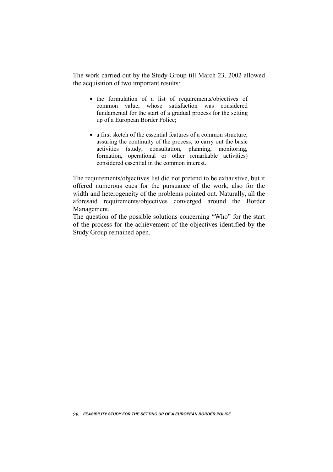The work carried out by the Study Group till March 23, 2002 allowed the acquisition of two important results:

- the formulation of a list of requirements/objectives of common value, whose satisfaction was considered fundamental for the start of a gradual process for the setting up of a European Border Police;
- a first sketch of the essential features of a common structure, assuring the continuity of the process, to carry out the basic activities (study, consultation, planning, monitoring, formation, operational or other remarkable activities) considered essential in the common interest.

The requirements/objectives list did not pretend to be exhaustive, but it offered numerous cues for the pursuance of the work, also for the width and heterogeneity of the problems pointed out. Naturally, all the aforesaid requirements/objectives converged around the Border Management.

The question of the possible solutions concerning "Who" for the start of the process for the achievement of the objectives identified by the Study Group remained open.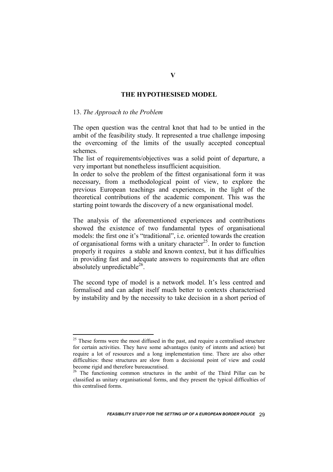#### **THE HYPOTHESISED MODEL**

#### 13. *The Approach to the Problem*

 $\overline{a}$ 

The open question was the central knot that had to be untied in the ambit of the feasibility study. It represented a true challenge imposing the overcoming of the limits of the usually accepted conceptual schemes.

The list of requirements/objectives was a solid point of departure, a very important but nonetheless insufficient acquisition.

In order to solve the problem of the fittest organisational form it was necessary, from a methodological point of view, to explore the previous European teachings and experiences, in the light of the theoretical contributions of the academic component. This was the starting point towards the discovery of a new organisational model.

The analysis of the aforementioned experiences and contributions showed the existence of two fundamental types of organisational models: the first one it's "traditional", i.e. oriented towards the creation of organisational forms with a unitary character<sup>25</sup>. In order to function properly it requires a stable and known context, but it has difficulties in providing fast and adequate answers to requirements that are often absolutely unpredictable $^{26}$ .

The second type of model is a network model. It's less centred and formalised and can adapt itself much better to contexts characterised by instability and by the necessity to take decision in a short period of

 $25$  These forms were the most diffused in the past, and require a centralised structure for certain activities. They have some advantages (unity of intents and action) but require a lot of resources and a long implementation time. There are also other difficulties: these structures are slow from a decisional point of view and could become rigid and therefore bureaucratised.

<sup>&</sup>lt;sup>26</sup> The functioning common structures in the ambit of the Third Pillar can be classified as unitary organisational forms, and they present the typical difficulties of this centralised forms.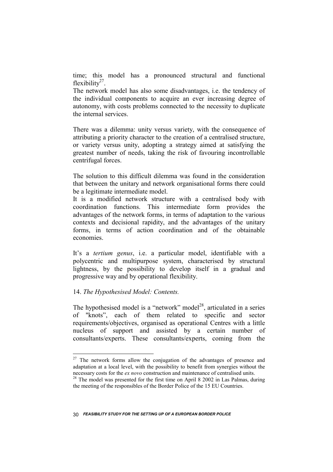time; this model has a pronounced structural and functional flexibility $2^7$ .

The network model has also some disadvantages, i.e. the tendency of the individual components to acquire an ever increasing degree of autonomy, with costs problems connected to the necessity to duplicate the internal services.

There was a dilemma: unity versus variety, with the consequence of attributing a priority character to the creation of a centralised structure, or variety versus unity, adopting a strategy aimed at satisfying the greatest number of needs, taking the risk of favouring incontrollable centrifugal forces.

The solution to this difficult dilemma was found in the consideration that between the unitary and network organisational forms there could be a legitimate intermediate model.

It is a modified network structure with a centralised body with coordination functions. This intermediate form provides the advantages of the network forms, in terms of adaptation to the various contexts and decisional rapidity, and the advantages of the unitary forms, in terms of action coordination and of the obtainable economies.

It's a *tertium genus*, i.e. a particular model, identifiable with a polycentric and multipurpose system, characterised by structural lightness, by the possibility to develop itself in a gradual and progressive way and by operational flexibility.

# 14. *The Hypothesised Model: Contents.*

 $\overline{a}$ 

The hypothesised model is a "network" model<sup>28</sup>, articulated in a series of "knots", each of them related to specific and sector requirements/objectives, organised as operational Centres with a little nucleus of support and assisted by a certain number of consultants/experts. These consultants/experts, coming from the

 $27$  The network forms allow the conjugation of the advantages of presence and adaptation at a local level, with the possibility to benefit from synergies without the necessary costs for the *ex novo* construction and maintenance of centralised units.<br><sup>28</sup> The model was presented for the first time on April 8 2002 in Las Palmas, during

the meeting of the responsibles of the Border Police of the 15 EU Countries.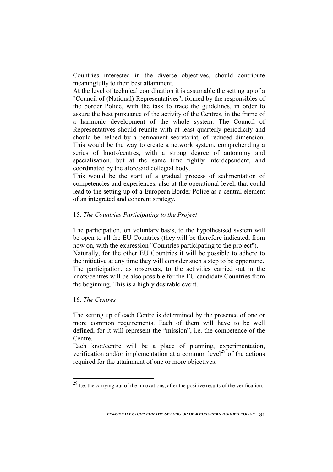Countries interested in the diverse objectives, should contribute meaningfully to their best attainment.

At the level of technical coordination it is assumable the setting up of a "Council of (National) Representatives", formed by the responsibles of the border Police, with the task to trace the guidelines, in order to assure the best pursuance of the activity of the Centres, in the frame of a harmonic development of the whole system. The Council of Representatives should reunite with at least quarterly periodicity and should be helped by a permanent secretariat, of reduced dimension. This would be the way to create a network system, comprehending a series of knots/centres, with a strong degree of autonomy and specialisation, but at the same time tightly interdependent, and coordinated by the aforesaid collegial body.

This would be the start of a gradual process of sedimentation of competencies and experiences, also at the operational level, that could lead to the setting up of a European Border Police as a central element of an integrated and coherent strategy.

## 15. *The Countries Participating to the Project*

The participation, on voluntary basis, to the hypothesised system will be open to all the EU Countries (they will be therefore indicated, from now on, with the expression "Countries participating to the project"). Naturally, for the other EU Countries it will be possible to adhere to the initiative at any time they will consider such a step to be opportune. The participation, as observers, to the activities carried out in the knots/centres will be also possible for the EU candidate Countries from the beginning. This is a highly desirable event.

#### 16. *The Centres*

 $\overline{a}$ 

The setting up of each Centre is determined by the presence of one or more common requirements. Each of them will have to be well defined, for it will represent the "mission", i.e. the competence of the Centre.

Each knot/centre will be a place of planning, experimentation, verification and/or implementation at a common level<sup>29</sup> of the actions required for the attainment of one or more objectives.

 $29$  I.e. the carrying out of the innovations, after the positive results of the verification.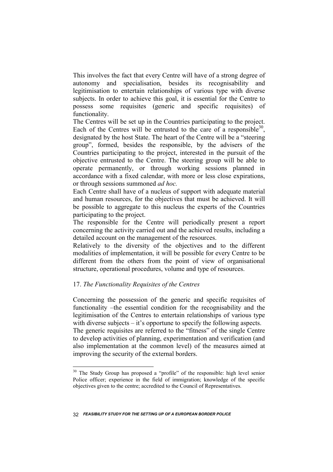This involves the fact that every Centre will have of a strong degree of autonomy and specialisation, besides its recognisability and legitimisation to entertain relationships of various type with diverse subjects. In order to achieve this goal, it is essential for the Centre to possess some requisites (generic and specific requisites) of functionality.

The Centres will be set up in the Countries participating to the project. Each of the Centres will be entrusted to the care of a responsible  $30$ , designated by the host State. The heart of the Centre will be a "steering group", formed, besides the responsible, by the advisers of the Countries participating to the project, interested in the pursuit of the objective entrusted to the Centre. The steering group will be able to operate permanently, or through working sessions planned in accordance with a fixed calendar, with more or less close expirations, or through sessions summoned *ad hoc.*

Each Centre shall have of a nucleus of support with adequate material and human resources, for the objectives that must be achieved. It will be possible to aggregate to this nucleus the experts of the Countries participating to the project.

The responsible for the Centre will periodically present a report concerning the activity carried out and the achieved results, including a detailed account on the management of the resources.

Relatively to the diversity of the objectives and to the different modalities of implementation, it will be possible for every Centre to be different from the others from the point of view of organisational structure, operational procedures, volume and type of resources.

# 17. *The Functionality Requisites of the Centres*

 $\overline{a}$ 

Concerning the possession of the generic and specific requisites of functionality –the essential condition for the recognisability and the legitimisation of the Centres to entertain relationships of various type with diverse subjects – it's opportune to specify the following aspects. The generic requisites are referred to the "fitness" of the single Centre to develop activities of planning, experimentation and verification (and also implementation at the common level) of the measures aimed at improving the security of the external borders.

<sup>&</sup>lt;sup>30</sup> The Study Group has proposed a "profile" of the responsible: high level senior Police officer; experience in the field of immigration; knowledge of the specific objectives given to the centre; accredited to the Council of Representatives.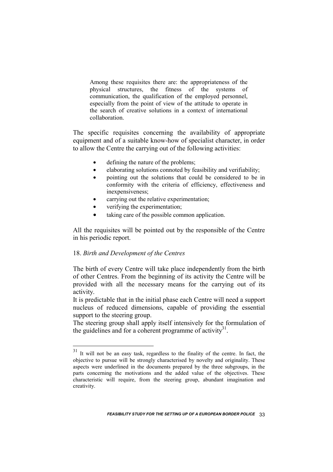Among these requisites there are: the appropriateness of the physical structures, the fitness of the systems of communication, the qualification of the employed personnel, especially from the point of view of the attitude to operate in the search of creative solutions in a context of international collaboration.

The specific requisites concerning the availability of appropriate equipment and of a suitable know-how of specialist character, in order to allow the Centre the carrying out of the following activities:

- defining the nature of the problems;
- elaborating solutions connoted by feasibility and verifiability:
- pointing out the solutions that could be considered to be in conformity with the criteria of efficiency, effectiveness and inexpensiveness;
- carrying out the relative experimentation;
- verifying the experimentation;
- taking care of the possible common application.

All the requisites will be pointed out by the responsible of the Centre in his periodic report.

#### 18. *Birth and Development of the Centres*

 $\overline{a}$ 

The birth of every Centre will take place independently from the birth of other Centres. From the beginning of its activity the Centre will be provided with all the necessary means for the carrying out of its activity.

It is predictable that in the initial phase each Centre will need a support nucleus of reduced dimensions, capable of providing the essential support to the steering group.

The steering group shall apply itself intensively for the formulation of the guidelines and for a coherent programme of activity $3<sup>1</sup>$ .

 $31$  It will not be an easy task, regardless to the finality of the centre. In fact, the objective to pursue will be strongly characterised by novelty and originality. These aspects were underlined in the documents prepared by the three subgroups, in the parts concerning the motivations and the added value of the objectives. These characteristic will require, from the steering group, abundant imagination and creativity.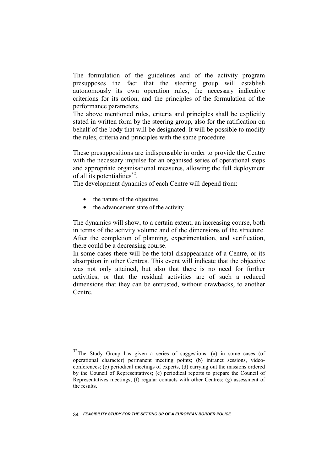The formulation of the guidelines and of the activity program presupposes the fact that the steering group will establish autonomously its own operation rules, the necessary indicative criterions for its action, and the principles of the formulation of the performance parameters.

The above mentioned rules, criteria and principles shall be explicitly stated in written form by the steering group, also for the ratification on behalf of the body that will be designated. It will be possible to modify the rules, criteria and principles with the same procedure.

These presuppositions are indispensable in order to provide the Centre with the necessary impulse for an organised series of operational steps and appropriate organisational measures, allowing the full deployment of all its potentialities $^{32}$ .

The development dynamics of each Centre will depend from:

• the nature of the objective

 $\overline{a}$ 

• the advancement state of the activity

The dynamics will show, to a certain extent, an increasing course, both in terms of the activity volume and of the dimensions of the structure. After the completion of planning, experimentation, and verification, there could be a decreasing course.

In some cases there will be the total disappearance of a Centre, or its absorption in other Centres. This event will indicate that the objective was not only attained, but also that there is no need for further activities, or that the residual activities are of such a reduced dimensions that they can be entrusted, without drawbacks, to another Centre.

 $32$ The Study Group has given a series of suggestions: (a) in some cases (of operational character) permanent meeting points; (b) intranet sessions, videoconferences; (c) periodical meetings of experts, (d) carrying out the missions ordered by the Council of Representatives; (e) periodical reports to prepare the Council of Representatives meetings; (f) regular contacts with other Centres; (g) assessment of the results.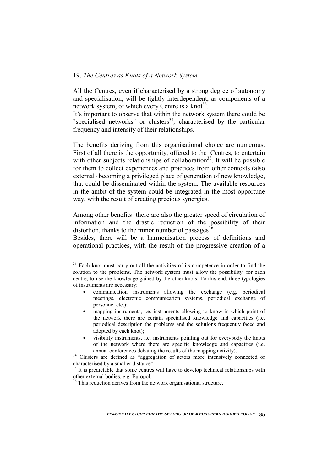#### 19. *The Centres as Knots of a Network System*

 $\overline{a}$ 

All the Centres, even if characterised by a strong degree of autonomy and specialisation, will be tightly interdependent, as components of a network system, of which every Centre is a knot<sup>33</sup>.

It's important to observe that within the network system there could be "specialised networks" or clusters<sup>34</sup>, characterised by the particular frequency and intensity of their relationships.

The benefits deriving from this organisational choice are numerous. First of all there is the opportunity, offered to the Centres, to entertain with other subjects relationships of collaboration<sup>35</sup>. It will be possible for them to collect experiences and practices from other contexts (also external) becoming a privileged place of generation of new knowledge, that could be disseminated within the system. The available resources in the ambit of the system could be integrated in the most opportune way, with the result of creating precious synergies.

Among other benefits there are also the greater speed of circulation of information and the drastic reduction of the possibility of their distortion, thanks to the minor number of passages  $36$ .

Besides, there will be a harmonisation process of definitions and operational practices, with the result of the progressive creation of a

- communication instruments allowing the exchange (e.g. periodical meetings, electronic communication systems, periodical exchange of personnel etc.);
- mapping instruments, i.e. instruments allowing to know in which point of the network there are certain specialised knowledge and capacities (i.e. periodical description the problems and the solutions frequently faced and adopted by each knot);
- visibility instruments, i.e. instruments pointing out for everybody the knots of the network where there are specific knowledge and capacities (i.e.

<sup>&</sup>lt;sup>33</sup> Each knot must carry out all the activities of its competence in order to find the solution to the problems. The network system must allow the possibility, for each centre, to use the knowledge gained by the other knots. To this end, three typologies of instruments are necessary:

annual conferences debating the results of the mapping activity). 34 Clusters are defined as "aggregation of actors more intensively connected or characterised by a smaller distance".

<sup>&</sup>lt;sup>35</sup> It is predictable that some centres will have to develop technical relationships with other external bodies, e.g. Europol.

<sup>&</sup>lt;sup>36</sup> This reduction derives from the network organisational structure.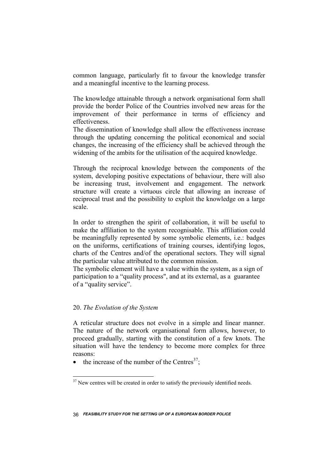common language, particularly fit to favour the knowledge transfer and a meaningful incentive to the learning process.

The knowledge attainable through a network organisational form shall provide the border Police of the Countries involved new areas for the improvement of their performance in terms of efficiency and effectiveness.

The dissemination of knowledge shall allow the effectiveness increase through the updating concerning the political economical and social changes, the increasing of the efficiency shall be achieved through the widening of the ambits for the utilisation of the acquired knowledge.

Through the reciprocal knowledge between the components of the system, developing positive expectations of behaviour, there will also be increasing trust, involvement and engagement. The network structure will create a virtuous circle that allowing an increase of reciprocal trust and the possibility to exploit the knowledge on a large scale.

In order to strengthen the spirit of collaboration, it will be useful to make the affiliation to the system recognisable. This affiliation could be meaningfully represented by some symbolic elements, i.e.: badges on the uniforms, certifications of training courses, identifying logos, charts of the Centres and/of the operational sectors. They will signal the particular value attributed to the common mission.

The symbolic element will have a value within the system, as a sign of participation to a "quality process", and at its external, as a guarantee of a "quality service".

#### 20. *The Evolution of the System*

 $\overline{a}$ 

A reticular structure does not evolve in a simple and linear manner. The nature of the network organisational form allows, however, to proceed gradually, starting with the constitution of a few knots. The situation will have the tendency to become more complex for three reasons:

• the increase of the number of the Centres<sup>37</sup>;

 $37$  New centres will be created in order to satisfy the previously identified needs.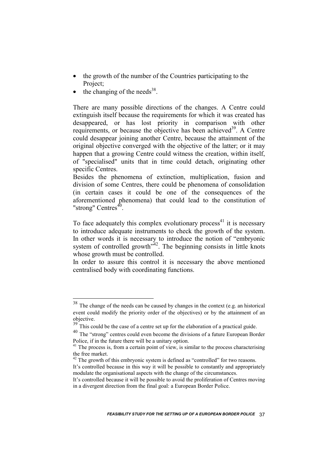- the growth of the number of the Countries participating to the Project:
- the changing of the needs<sup>38</sup>.

 $\overline{a}$ 

There are many possible directions of the changes. A Centre could extinguish itself because the requirements for which it was created has desappeared, or has lost priority in comparison with other requirements, or because the objective has been achieved<sup>39</sup>. A Centre could desappear joining another Centre, because the attainment of the original objective converged with the objective of the latter; or it may happen that a growing Centre could witness the creation, within itself, of "specialised" units that in time could detach, originating other specific Centres.

Besides the phenomena of extinction, multiplication, fusion and division of some Centres, there could be phenomena of consolidation (in certain cases it could be one of the consequences of the aforementioned phenomena) that could lead to the constitution of "strong" Centres $^{40}$ .

To face adequately this complex evolutionary process<sup>41</sup> it is necessary to introduce adequate instruments to check the growth of the system. In other words it is necessary to introduce the notion of "embryonic system of controlled growth<sup> $542$ </sup>. The beginning consists in little knots whose growth must be controlled.

In order to assure this control it is necessary the above mentioned centralised body with coordinating functions.

<sup>38</sup> The change of the needs can be caused by changes in the context (e.g. an historical event could modify the priority order of the objectives) or by the attainment of an objective.

This could be the case of a centre set up for the elaboration of a practical guide.

<sup>40</sup> The "strong" centres could even become the divisions of a future European Border Police, if in the future there will be a unitary option.

<sup>&</sup>lt;sup>41</sup> The process is, from a certain point of view, is similar to the process characterising the free market.

 $42$  The growth of this embryonic system is defined as "controlled" for two reasons.

It's controlled because in this way it will be possible to constantly and appropriately modulate the organisational aspects with the change of the circumstances.

It's controlled because it will be possible to avoid the proliferation of Centres moving in a divergent direction from the final goal: a European Border Police.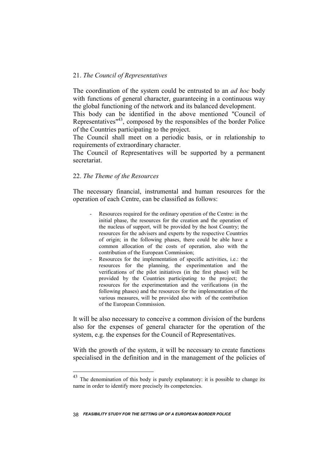# 21. *The Council of Representatives*

The coordination of the system could be entrusted to an *ad hoc* body with functions of general character, guaranteeing in a continuous way the global functioning of the network and its balanced development.

This body can be identified in the above mentioned "Council of Representatives"43, composed by the responsibles of the border Police of the Countries participating to the project.

The Council shall meet on a periodic basis, or in relationship to requirements of extraordinary character.

The Council of Representatives will be supported by a permanent secretariat.

### 22. *The Theme of the Resources*

 $\overline{a}$ 

The necessary financial, instrumental and human resources for the operation of each Centre, can be classified as follows:

- Resources required for the ordinary operation of the Centre: in the initial phase, the resources for the creation and the operation of the nucleus of support, will be provided by the host Country; the resources for the advisers and experts by the respective Countries of origin; in the following phases, there could be able have a common allocation of the costs of operation, also with the contribution of the European Commission;
- Resources for the implementation of specific activities, i.e.: the resources for the planning, the experimentation and the verifications of the pilot initiatives (in the first phase) will be provided by the Countries participating to the project; the resources for the experimentation and the verifications (in the following phases) and the resources for the implementation of the various measures, will be provided also with of the contribution of the European Commission.

It will be also necessary to conceive a common division of the burdens also for the expenses of general character for the operation of the system, e.g. the expenses for the Council of Representatives.

With the growth of the system, it will be necessary to create functions specialised in the definition and in the management of the policies of

<sup>43</sup> The denomination of this body is purely explanatory: it is possible to change its name in order to identify more precisely its competencies.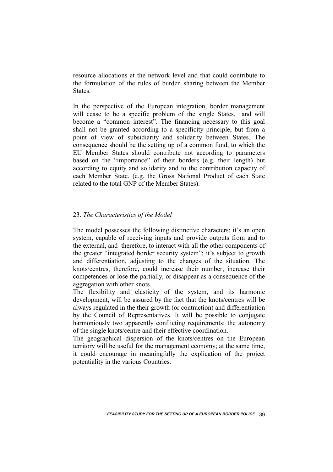resource allocations at the network level and that could contribute to the formulation of the rules of burden sharing between the Member States.

In the perspective of the European integration, border management will cease to be a specific problem of the single States, and will become a "common interest". The financing necessary to this goal shall not be granted according to a specificity principle, but from a point of view of subsidiarity and solidarity between States. The consequence should be the setting up of a common fund, to which the EU Member States should contribute not according to parameters based on the "importance" of their borders (e.g. their length) but according to equity and solidarity and to the contribution capacity of each Member State. (e.g. the Gross National Product of each State related to the total GNP of the Member States).

## 23. *The Characteristics of the Model*

The model possesses the following distinctive characters: it's an open system, capable of receiving inputs and provide outputs from and to the external, and therefore, to interact with all the other components of the greater "integrated border security system"; it's subject to growth and differentiation, adjusting to the changes of the situation. The knots/centres, therefore, could increase their number, increase their competences or lose the partially, or disappear as a consequence of the aggregation with other knots.

The flexibility and elasticity of the system, and its harmonic development, will be assured by the fact that the knots/centres will be always regulated in the their growth (or contraction) and differentiation by the Council of Representatives. It will be possible to conjugate harmoniously two apparently conflicting requirements: the autonomy of the single knots/centre and their effective coordination.

The geographical dispersion of the knots/centres on the European territory will be useful for the management economy; at the same time, it could encourage in meaningfully the explication of the project potentiality in the various Countries.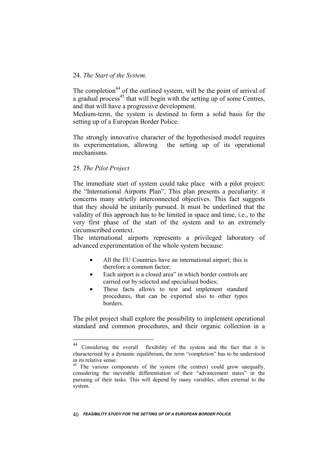# 24. *The Start of the System.*

The completion<sup>44</sup> of the outlined system, will be the point of arrival of a gradual process<sup>45</sup> that will begin with the setting up of some Centres, and that will have a progressive development.

Medium-term, the system is destined to form a solid basis for the setting up of a European Border Police.

The strongly innovative character of the hypothesised model requires its experimentation, allowing the setting up of its operational mechanisms.

### 25. *The Pilot Project*

 $\overline{a}$ 

The immediate start of system could take place with a pilot project: the "International Airports Plan". This plan presents a peculiarity: it concerns many strictly interconnected objectives. This fact suggests that they should be unitarily pursued. It must be underlined that the validity of this approach has to be limited in space and time, i.e., to the very first phase of the start of the system and to an extremely circumscribed context.

The international airports represents a privileged laboratory of advanced experimentation of the whole system because:

- All the EU Countries have an international airport; this is therefore a common factor;
- Each airport is a closed area" in which border controls are carried out by selected and specialised bodies;
- These facts allows to test and implement standard procedures, that can be exported also to other types borders.

The pilot project shall explore the possibility to implement operational standard and common procedures, and their organic collection in a

<sup>44</sup> Considering the overall flexibility of the system and the fact that it is characterised by a dynamic equilibrium, the term "completion" has to be understood in its relative sense.

<sup>&</sup>lt;sup>45</sup> The various components of the system (the centres) could grow unequally, considering the inevitable differentiation of their "advancement states" in the pursuing of their tasks. This will depend by many variables, often external to the system.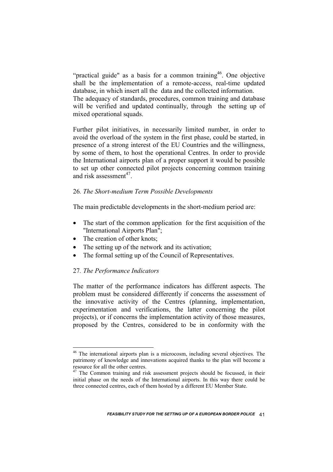"practical guide" as a basis for a common training<sup>46</sup>. One objective shall be the implementation of a remote-access, real-time updated database, in which insert all the data and the collected information. The adequacy of standards, procedures, common training and database will be verified and updated continually, through the setting up of mixed operational squads.

Further pilot initiatives, in necessarily limited number, in order to avoid the overload of the system in the first phase, could be started, in presence of a strong interest of the EU Countries and the willingness, by some of them, to host the operational Centres. In order to provide the International airports plan of a proper support it would be possible to set up other connected pilot projects concerning common training and risk assessment<sup>47</sup>

### 26*. The Short-medium Term Possible Developments*

The main predictable developments in the short-medium period are:

- The start of the common application for the first acquisition of the "International Airports Plan";
- The creation of other knots:
- The setting up of the network and its activation;
- The formal setting up of the Council of Representatives.

## 27*. The Performance Indicators*

 $\overline{a}$ 

The matter of the performance indicators has different aspects. The problem must be considered differently if concerns the assessment of the innovative activity of the Centres (planning, implementation, experimentation and verifications, the latter concerning the pilot projects), or if concerns the implementation activity of those measures, proposed by the Centres, considered to be in conformity with the

<sup>46</sup> The international airports plan is a microcosm, including several objectives. The patrimony of knowledge and innovations acquired thanks to the plan will become a resource for all the other centres.

 $47$  The Common training and risk assessment projects should be focussed, in their initial phase on the needs of the International airports. In this way there could be three connected centres, each of them hosted by a different EU Member State.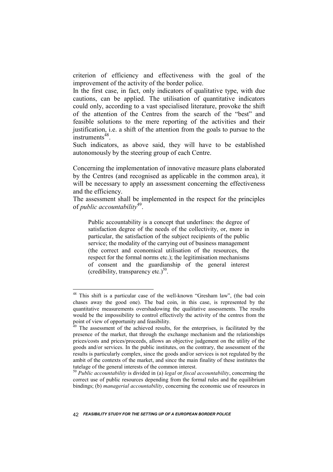criterion of efficiency and effectiveness with the goal of the improvement of the activity of the border police.

In the first case, in fact, only indicators of qualitative type, with due cautions, can be applied. The utilisation of quantitative indicators could only, according to a vast specialised literature, provoke the shift of the attention of the Centres from the search of the "best" and feasible solutions to the mere reporting of the activities and their justification, i.e. a shift of the attention from the goals to pursue to the instruments<sup>48</sup>

Such indicators, as above said, they will have to be established autonomously by the steering group of each Centre.

Concerning the implementation of innovative measure plans elaborated by the Centres (and recognised as applicable in the common area), it will be necessary to apply an assessment concerning the effectiveness and the efficiency.

The assessment shall be implemented in the respect for the principles of *public accountability*49.

Public accountability is a concept that underlines: the degree of satisfaction degree of the needs of the collectivity, or, more in particular, the satisfaction of the subject recipients of the public service; the modality of the carrying out of business management (the correct and economical utilisation of the resources, the respect for the formal norms etc.); the legitimisation mechanisms of consent and the guardianship of the general interest (credibility, transparency etc.) $50$ .

 $\overline{a}$ 

<sup>48</sup> This shift is a particular case of the well-known "Gresham law", (the bad coin chases away the good one). The bad coin, in this case, is represented by the quantitative measurements overshadowing the qualitative assessments. The results would be the impossibility to control effectively the activity of the centres from the point of view of opportunity and feasibility.

The assessment of the achieved results, for the enterprises, is facilitated by the presence of the market, that through the exchange mechanism and the relationships prices/costs and prices/proceeds, allows an objective judgement on the utility of the goods and/or services. In the public institutes, on the contrary, the assessment of the results is particularly complex, since the goods and/or services is not regulated by the ambit of the contexts of the market, and since the main finality of these institutes the tutelage of the general interests of the common interest.

<sup>50</sup> *Public accountability* is divided in (a) *legal* or *fiscal accountability*, concerning the correct use of public resources depending from the formal rules and the equilibrium bindings; (b) *managerial accountability*, concerning the economic use of resources in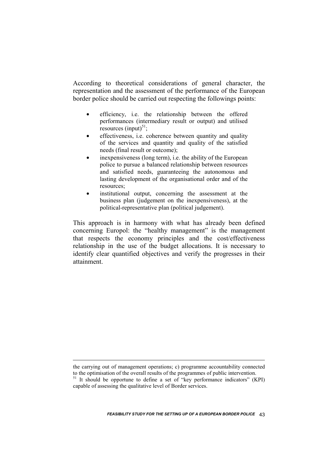According to theoretical considerations of general character, the representation and the assessment of the performance of the European border police should be carried out respecting the followings points:

- efficiency, i.e. the relationship between the offered performances (intermediary result or output) and utilised resources  $(input)^{51}$ ;
- effectiveness, i.e. coherence between quantity and quality of the services and quantity and quality of the satisfied needs (final result or outcome);
- inexpensiveness (long term), i.e. the ability of the European police to pursue a balanced relationship between resources and satisfied needs, guaranteeing the autonomous and lasting development of the organisational order and of the resources;
- institutional output, concerning the assessment at the business plan (judgement on the inexpensiveness), at the political-representative plan (political judgement).

This approach is in harmony with what has already been defined concerning Europol: the "healthy management" is the management that respects the economy principles and the cost/effectiveness relationship in the use of the budget allocations. It is necessary to identify clear quantified objectives and verify the progresses in their attainment.

 $\overline{a}$ 

the carrying out of management operations; c) programme accountability connected to the optimisation of the overall results of the programmes of public intervention.

<sup>&</sup>lt;sup>51</sup> It should be opportune to define a set of "key performance indicators" (KPI) capable of assessing the qualitative level of Border services.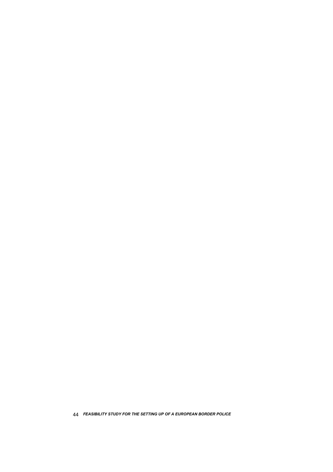*FEASIBILITY STUDY FOR THE SETTING UP OF A EUROPEAN BORDER POLICE*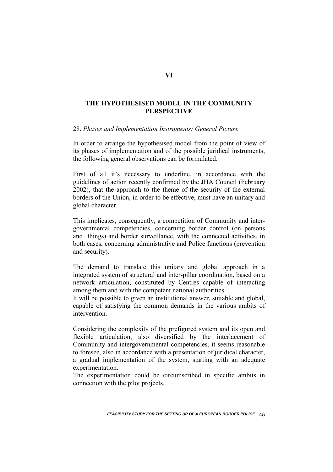# **THE HYPOTHESISED MODEL IN THE COMMUNITY PERSPECTIVE**

### 28. *Phases and Implementation Instruments: General Picture*

In order to arrange the hypothesised model from the point of view of its phases of implementation and of the possible juridical instruments, the following general observations can be formulated.

First of all it's necessary to underline, in accordance with the guidelines of action recently confirmed by the JHA Council (February 2002), that the approach to the theme of the security of the external borders of the Union, in order to be effective, must have an unitary and global character.

This implicates, consequently, a competition of Community and intergovernmental competencies, concerning border control (on persons and things) and border surveillance, with the connected activities, in both cases, concerning administrative and Police functions (prevention and security).

The demand to translate this unitary and global approach in a integrated system of structural and inter-pillar coordination, based on a network articulation, constituted by Centres capable of interacting among them and with the competent national authorities.

It will be possible to given an institutional answer, suitable and global, capable of satisfying the common demands in the various ambits of intervention.

Considering the complexity of the prefigured system and its open and flexible articulation, also diversified by the interlacement of Community and intergovernmental competencies, it seems reasonable to foresee, also in accordance with a presentation of juridical character, a gradual implementation of the system, starting with an adequate experimentation.

The experimentation could be circumscribed in specific ambits in connection with the pilot projects.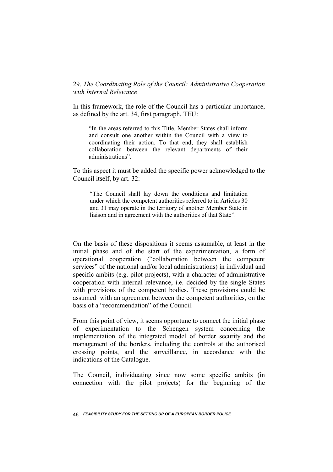# 29. *The Coordinating Role of the Council: Administrative Cooperation with Internal Relevance*

In this framework, the role of the Council has a particular importance, as defined by the art. 34, first paragraph, TEU:

"In the areas referred to this Title, Member States shall inform and consult one another within the Council with a view to coordinating their action. To that end, they shall establish collaboration between the relevant departments of their administrations".

To this aspect it must be added the specific power acknowledged to the Council itself, by art. 32:

"The Council shall lay down the conditions and limitation under which the competent authorities referred to in Articles 30 and 31 may operate in the territory of another Member State in liaison and in agreement with the authorities of that State".

On the basis of these dispositions it seems assumable, at least in the initial phase and of the start of the experimentation, a form of operational cooperation ("collaboration between the competent services" of the national and/or local administrations) in individual and specific ambits (e.g. pilot projects), with a character of administrative cooperation with internal relevance, i.e. decided by the single States with provisions of the competent bodies. These provisions could be assumed with an agreement between the competent authorities, on the basis of a "recommendation" of the Council.

From this point of view, it seems opportune to connect the initial phase of experimentation to the Schengen system concerning the implementation of the integrated model of border security and the management of the borders, including the controls at the authorised crossing points, and the surveillance, in accordance with the indications of the Catalogue.

The Council, individuating since now some specific ambits (in connection with the pilot projects) for the beginning of the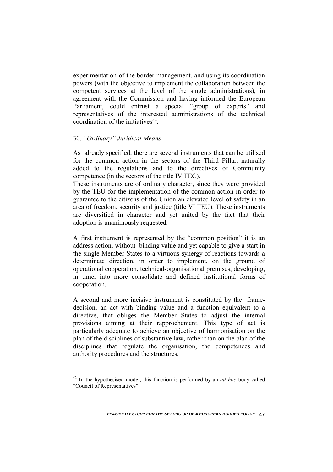experimentation of the border management, and using its coordination powers (with the objective to implement the collaboration between the competent services at the level of the single administrations), in agreement with the Commission and having informed the European Parliament, could entrust a special "group of experts" and representatives of the interested administrations of the technical coordination of the initiatives $52$ .

# 30. *"Ordinary" Juridical Means*

 $\overline{a}$ 

As already specified, there are several instruments that can be utilised for the common action in the sectors of the Third Pillar, naturally added to the regulations and to the directives of Community competence (in the sectors of the title IV TEC).

These instruments are of ordinary character, since they were provided by the TEU for the implementation of the common action in order to guarantee to the citizens of the Union an elevated level of safety in an area of freedom, security and justice (title VI TEU). These instruments are diversified in character and yet united by the fact that their adoption is unanimously requested.

A first instrument is represented by the "common position" it is an address action, without binding value and yet capable to give a start in the single Member States to a virtuous synergy of reactions towards a determinate direction, in order to implement, on the ground of operational cooperation, technical-organisational premises, developing, in time, into more consolidate and defined institutional forms of cooperation.

A second and more incisive instrument is constituted by the framedecision, an act with binding value and a function equivalent to a directive, that obliges the Member States to adjust the internal provisions aiming at their rapprochement. This type of act is particularly adequate to achieve an objective of harmonisation on the plan of the disciplines of substantive law, rather than on the plan of the disciplines that regulate the organisation, the competences and authority procedures and the structures.

 $52$  In the hypothesised model, this function is performed by an *ad hoc* body called "Council of Representatives".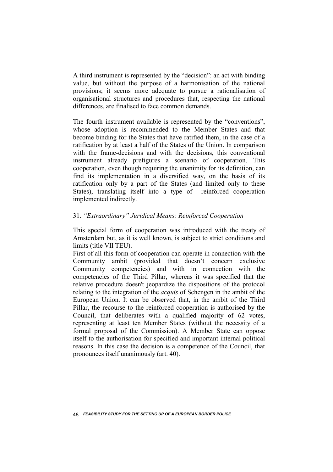A third instrument is represented by the "decision": an act with binding value, but without the purpose of a harmonisation of the national provisions; it seems more adequate to pursue a rationalisation of organisational structures and procedures that, respecting the national differences, are finalised to face common demands.

The fourth instrument available is represented by the "conventions", whose adoption is recommended to the Member States and that become binding for the States that have ratified them, in the case of a ratification by at least a half of the States of the Union. In comparison with the frame-decisions and with the decisions, this conventional instrument already prefigures a scenario of cooperation. This cooperation, even though requiring the unanimity for its definition, can find its implementation in a diversified way, on the basis of its ratification only by a part of the States (and limited only to these States), translating itself into a type of reinforced cooperation implemented indirectly.

# 31. *"Extraordinary" Juridical Means: Reinforced Cooperation*

This special form of cooperation was introduced with the treaty of Amsterdam but, as it is well known, is subject to strict conditions and limits (title VII TEU).

First of all this form of cooperation can operate in connection with the Community ambit (provided that doesn't concern exclusive Community competencies) and with in connection with the competencies of the Third Pillar, whereas it was specified that the relative procedure doesn't jeopardize the dispositions of the protocol relating to the integration of the *acquis* of Schengen in the ambit of the European Union. It can be observed that, in the ambit of the Third Pillar, the recourse to the reinforced cooperation is authorised by the Council, that deliberates with a qualified majority of 62 votes, representing at least ten Member States (without the necessity of a formal proposal of the Commission). A Member State can oppose itself to the authorisation for specified and important internal political reasons. In this case the decision is a competence of the Council, that pronounces itself unanimously (art. 40).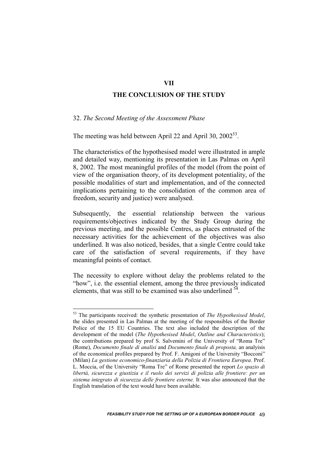# **THE CONCLUSION OF THE STUDY**

### 32. *The Second Meeting of the Assessment Phase*

The meeting was held between April 22 and April 30,  $2002^{53}$ .

The characteristics of the hypothesised model were illustrated in ample and detailed way, mentioning its presentation in Las Palmas on April 8, 2002. The most meaningful profiles of the model (from the point of view of the organisation theory, of its development potentiality, of the possible modalities of start and implementation, and of the connected implications pertaining to the consolidation of the common area of freedom, security and justice) were analysed.

Subsequently, the essential relationship between the various requirements/objectives indicated by the Study Group during the previous meeting, and the possible Centres, as places entrusted of the necessary activities for the achievement of the objectives was also underlined. It was also noticed, besides, that a single Centre could take care of the satisfaction of several requirements, if they have meaningful points of contact.

The necessity to explore without delay the problems related to the "how", i.e. the essential element, among the three previously indicated elements, that was still to be examined was also underlined <sup>54</sup>.

 $\overline{a}$ 

<sup>53</sup> The participants received: the synthetic presentation of *The Hypothesised Model*, the slides presented in Las Palmas at the meeting of the responsibles of the Border Police of the 15 EU Countries. The text also included the description of the development of the model (*The Hypothesised Model*, *Outline and Characteristics*); the contributions prepared by prof S. Salvemini of the University of "Roma Tre" (Rome), *Documento finale di analisi* and *Documento finale di proposta,* an analyisis of the economical profiles prepared by Prof. F. Amigoni of the University "Bocconi" (Milan) *La gestione economico-finanziaria della Polizia di Frontiera Europea.* Prof. L. Moccia, of the University "Roma Tre" of Rome presented the report *Lo spazio di libertà, sicurezza e giustizia e il ruolo dei servizi di polizia alle frontiere: per un sistema integrato di sicurezza delle frontiere esterne.* It was also announced that the English translation of the text would have been available.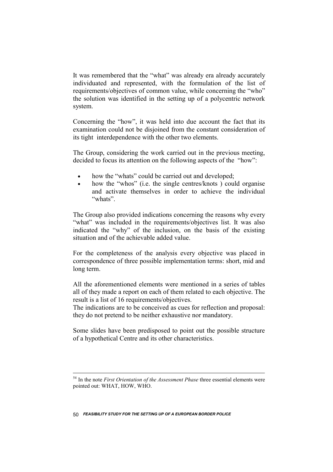It was remembered that the "what" was already era already accurately individuated and represented, with the formulation of the list of requirements/objectives of common value, while concerning the "who" the solution was identified in the setting up of a polycentric network system.

Concerning the "how", it was held into due account the fact that its examination could not be disjoined from the constant consideration of its tight interdependence with the other two elements.

The Group, considering the work carried out in the previous meeting, decided to focus its attention on the following aspects of the "how":

- how the "whats" could be carried out and developed;
- how the "whos" (i.e. the single centres/knots) could organise and activate themselves in order to achieve the individual "whats".

The Group also provided indications concerning the reasons why every "what" was included in the requirements/objectives list. It was also indicated the "why" of the inclusion, on the basis of the existing situation and of the achievable added value.

For the completeness of the analysis every objective was placed in correspondence of three possible implementation terms: short, mid and long term.

All the aforementioned elements were mentioned in a series of tables all of they made a report on each of them related to each objective. The result is a list of 16 requirements/objectives.

The indications are to be conceived as cues for reflection and proposal: they do not pretend to be neither exhaustive nor mandatory.

Some slides have been predisposed to point out the possible structure of a hypothetical Centre and its other characteristics.

 $\overline{a}$ 

<sup>54</sup> In the note *First Orientation of the Assessment Phase* three essential elements were pointed out: WHAT, HOW, WHO.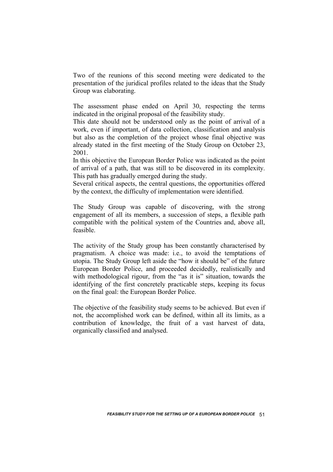Two of the reunions of this second meeting were dedicated to the presentation of the juridical profiles related to the ideas that the Study Group was elaborating.

The assessment phase ended on April 30, respecting the terms indicated in the original proposal of the feasibility study.

This date should not be understood only as the point of arrival of a work, even if important, of data collection, classification and analysis but also as the completion of the project whose final objective was already stated in the first meeting of the Study Group on October 23, 2001.

In this objective the European Border Police was indicated as the point of arrival of a path, that was still to be discovered in its complexity. This path has gradually emerged during the study.

Several critical aspects, the central questions, the opportunities offered by the context, the difficulty of implementation were identified.

The Study Group was capable of discovering, with the strong engagement of all its members, a succession of steps, a flexible path compatible with the political system of the Countries and, above all, feasible.

The activity of the Study group has been constantly characterised by pragmatism. A choice was made: i.e., to avoid the temptations of utopia. The Study Group left aside the "how it should be" of the future European Border Police, and proceeded decidedly, realistically and with methodological rigour, from the "as it is" situation, towards the identifying of the first concretely practicable steps, keeping its focus on the final goal: the European Border Police.

The objective of the feasibility study seems to be achieved. But even if not, the accomplished work can be defined, within all its limits, as a contribution of knowledge, the fruit of a vast harvest of data, organically classified and analysed.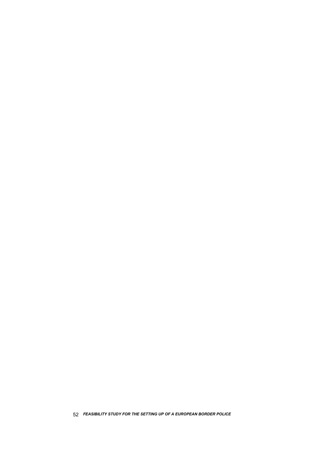*FEASIBILITY STUDY FOR THE SETTING UP OF A EUROPEAN BORDER POLICE*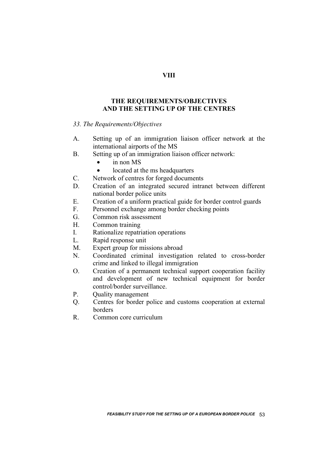# **THE REQUIREMENTS/OBJECTIVES AND THE SETTING UP OF THE CENTRES**

# *33. The Requirements/Objectives*

- A. Setting up of an immigration liaison officer network at the international airports of the MS
- B. Setting up of an immigration liaison officer network:
	- in non MS
	- located at the ms headquarters
- C. Network of centres for forged documents
- D. Creation of an integrated secured intranet between different national border police units
- E. Creation of a uniform practical guide for border control guards
- F. Personnel exchange among border checking points
- G. Common risk assessment
- H. Common training
- I. Rationalize repatriation operations
- L. Rapid response unit
- M. Expert group for missions abroad
- N. Coordinated criminal investigation related to cross-border crime and linked to illegal immigration
- O. Creation of a permanent technical support cooperation facility and development of new technical equipment for border control/border surveillance.
- P. Quality management
- Q. Centres for border police and customs cooperation at external borders
- R. Common core curriculum

**VIII**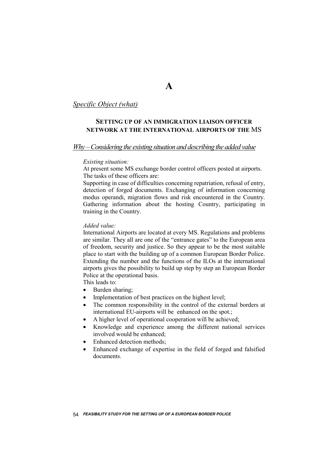### *Specific Object (what)*

# **SETTING UP OF AN IMMIGRATION LIAISON OFFICER NETWORK AT THE INTERNATIONAL AIRPORTS OF THE** MS

### *Why – Considering the existing situation and describing the added value*

#### *Existing situation:*

At present some MS exchange border control officers posted at airports. The tasks of these officers are:

Supporting in case of difficulties concerning repatriation, refusal of entry, detection of forged documents. Exchanging of information concerning modus operandi, migration flows and risk encountered in the Country. Gathering information about the hosting Country, participating in training in the Country.

#### *Added value:*

International Airports are located at every MS. Regulations and problems are similar. They all are one of the "entrance gates" to the European area of freedom, security and justice. So they appear to be the most suitable place to start with the building up of a common European Border Police. Extending the number and the functions of the ILOs at the international airports gives the possibility to build up step by step an European Border Police at the operational basis.

This leads to:

- Burden sharing:
- Implementation of best practices on the highest level;
- The common responsibility in the control of the external borders at international EU-airports will be enhanced on the spot.;
- A higher level of operational cooperation will be achieved;
- Knowledge and experience among the different national services involved would be enhanced;
- Enhanced detection methods:
- Enhanced exchange of expertise in the field of forged and falsified documents.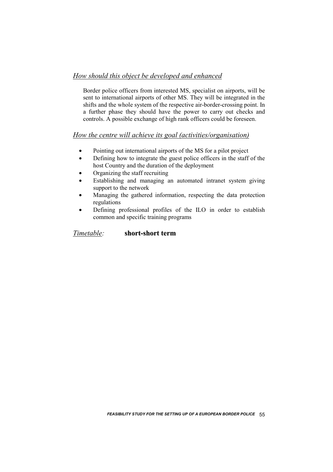# *How should this object be developed and enhanced*

Border police officers from interested MS, specialist on airports, will be sent to international airports of other MS. They will be integrated in the shifts and the whole system of the respective air-border-crossing point. In a further phase they should have the power to carry out checks and controls. A possible exchange of high rank officers could be foreseen.

# *How the centre will achieve its goal (activities/organisation)*

- Pointing out international airports of the MS for a pilot project
- Defining how to integrate the guest police officers in the staff of the host Country and the duration of the deployment
- Organizing the staff recruiting
- Establishing and managing an automated intranet system giving support to the network
- Managing the gathered information, respecting the data protection regulations
- Defining professional profiles of the ILO in order to establish common and specific training programs

*Timetable:* **short-short term**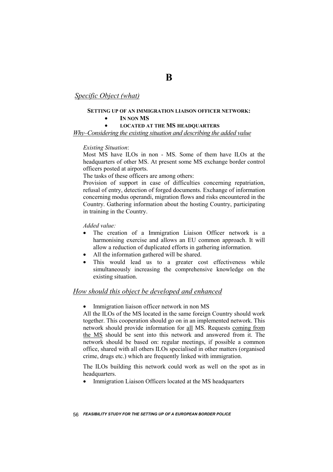*Specific Object (what)*

# **SETTING UP OF AN IMMIGRATION LIAISON OFFICER NETWORK:**

• **IN NON MS** 

### • **LOCATED AT THE MS HEADQUARTERS**

*Why–Considering the existing situation and describing the added value*

#### *Existing Situation*:

Most MS have ILOs in non - MS. Some of them have ILOs at the headquarters of other MS. At present some MS exchange border control officers posted at airports.

The tasks of these officers are among others:

Provision of support in case of difficulties concerning repatriation, refusal of entry, detection of forged documents. Exchange of information concerning modus operandi, migration flows and risks encountered in the Country. Gathering information about the hosting Country, participating in training in the Country.

*Added value:* 

- The creation of a Immigration Liaison Officer network is a harmonising exercise and allows an EU common approach. It will allow a reduction of duplicated efforts in gathering information.
- All the information gathered will be shared.
- This would lead us to a greater cost effectiveness while simultaneously increasing the comprehensive knowledge on the existing situation.

### *How should this object be developed and enhanced*

• Immigration liaison officer network in non MS

All the ILOs of the MS located in the same foreign Country should work together. This cooperation should go on in an implemented network. This network should provide information for all MS. Requests coming from the MS should be sent into this network and answered from it. The network should be based on: regular meetings, if possible a common office, shared with all others ILOs specialised in other matters (organised crime, drugs etc.) which are frequently linked with immigration.

The ILOs building this network could work as well on the spot as in headquarters.

Immigration Liaison Officers located at the MS headquarters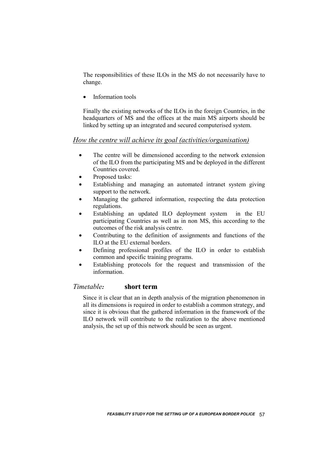The responsibilities of these ILOs in the MS do not necessarily have to change.

Information tools

Finally the existing networks of the ILOs in the foreign Countries, in the headquarters of MS and the offices at the main MS airports should be linked by setting up an integrated and secured computerised system.

# *How the centre will achieve its goal (activities/organisation)*

- The centre will be dimensioned according to the network extension of the ILO from the participating MS and be deployed in the different Countries covered.
- Proposed tasks:
- Establishing and managing an automated intranet system giving support to the network.
- Managing the gathered information, respecting the data protection regulations.
- Establishing an updated ILO deployment system in the EU participating Countries as well as in non MS, this according to the outcomes of the risk analysis centre.
- Contributing to the definition of assignments and functions of the ILO at the EU external borders.
- Defining professional profiles of the ILO in order to establish common and specific training programs.
- Establishing protocols for the request and transmission of the information.

# *Timetable:* **short term**

Since it is clear that an in depth analysis of the migration phenomenon in all its dimensions is required in order to establish a common strategy, and since it is obvious that the gathered information in the framework of the ILO network will contribute to the realization to the above mentioned analysis, the set up of this network should be seen as urgent.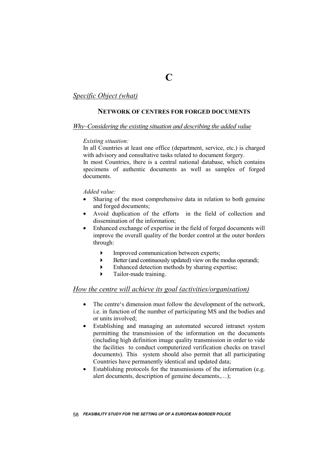*Specific Object (what)*

#### **NETWORK OF CENTRES FOR FORGED DOCUMENTS**

#### *Why–Considering the existing situation and describing the added value*

#### *Existing situation:*

In all Countries at least one office (department, service, etc.) is charged with advisory and consultative tasks related to document forgery.

In most Countries, there is a central national database, which contains specimens of authentic documents as well as samples of forged documents.

#### *Added value:*

- Sharing of the most comprehensive data in relation to both genuine and forged documents;
- Avoid duplication of the efforts in the field of collection and dissemination of the information;
- Enhanced exchange of expertise in the field of forged documents will improve the overall quality of the border control at the outer borders through:
	- Improved communication between experts;
	- Better (and continuously updated) view on the modus operandi;
	- $\blacktriangleright$  Enhanced detection methods by sharing expertise;
	- $\blacktriangleright$  Tailor-made training.

# *How the centre will achieve its goal (activities/organisation)*

- The centre's dimension must follow the development of the network, i.e. in function of the number of participating MS and the bodies and or units involved;
- Establishing and managing an automated secured intranet system permitting the transmission of the information on the documents (including high definition image quality transmission in order to vide the facilities to conduct computerized verification checks on travel documents). This system should also permit that all participating Countries have permanently identical and updated data;
- Establishing protocols for the transmissions of the information (e.g. alert documents, description of genuine documents,…);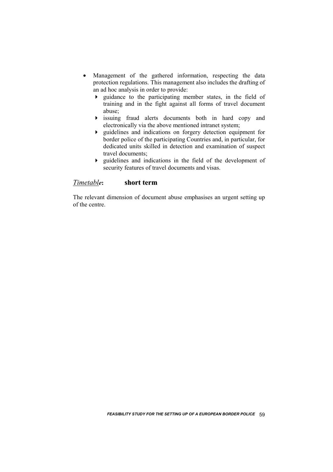- Management of the gathered information, respecting the data protection regulations. This management also includes the drafting of an ad hoc analysis in order to provide:
	- $\rightarrow$  guidance to the participating member states, in the field of training and in the fight against all forms of travel document abuse;
	- issuing fraud alerts documents both in hard copy and electronically via the above mentioned intranet system;
	- guidelines and indications on forgery detection equipment for border police of the participating Countries and, in particular, for dedicated units skilled in detection and examination of suspect travel documents;
	- guidelines and indications in the field of the development of security features of travel documents and visas.

# *Timetable***: short term**

The relevant dimension of document abuse emphasises an urgent setting up of the centre.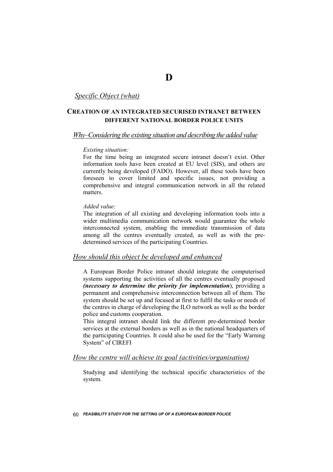*Specific Object (what)*

# **CREATION OF AN INTEGRATED SECURISED INTRANET BETWEEN DIFFERENT NATIONAL BORDER POLICE UNITS**

#### *Why–Considering the existing situation and describing the added value*

#### *Existing situation:*

For the time being an integrated secure intranet doesn't exist. Other information tools have been created at EU level (SIS), and others are currently being developed (FADO). However, all these tools have been foreseen to cover limited and specific issues, not providing a comprehensive and integral communication network in all the related matters.

#### *Added value:*

The integration of all existing and developing information tools into a wider multimedia communication network would guarantee the whole interconnected system, enabling the immediate transmission of data among all the centres eventually created, as well as with the predetermined services of the participating Countries.

### *How should this object be developed and enhanced*

A European Border Police intranet should integrate the computerised systems supporting the activities of all the centres eventually proposed *(necessary to determine the priority for implementation*), providing a permanent and comprehensive interconnection between all of them. The system should be set up and focused at first to fulfil the tasks or needs of the centres in charge of developing the ILO network as well as the border police and customs cooperation.

This integral intranet should link the different pre-determined border services at the external borders as well as in the national headquarters of the participating Countries. It could also be used for the "Early Warning System" of CIREFI

### *How the centre will achieve its goal (activities/organisation)*

Studying and identifying the technical specific characteristics of the system.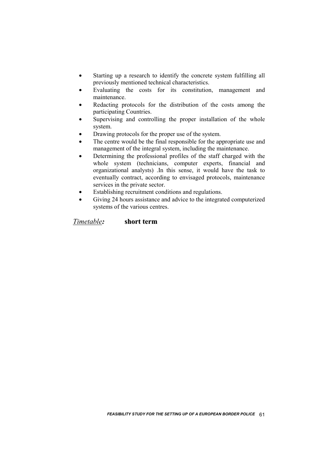- Starting up a research to identify the concrete system fulfilling all previously mentioned technical characteristics.
- Evaluating the costs for its constitution, management and maintenance.
- Redacting protocols for the distribution of the costs among the participating Countries.
- Supervising and controlling the proper installation of the whole system.
- Drawing protocols for the proper use of the system.
- The centre would be the final responsible for the appropriate use and management of the integral system, including the maintenance.
- Determining the professional profiles of the staff charged with the whole system (technicians, computer experts, financial and organizational analysts) .In this sense, it would have the task to eventually contract, according to envisaged protocols, maintenance services in the private sector.
- Establishing recruitment conditions and regulations.
- Giving 24 hours assistance and advice to the integrated computerized systems of the various centres.

*Timetable:* **short term**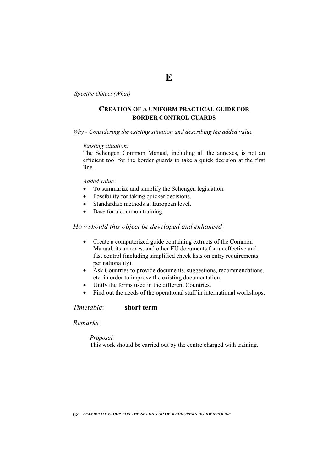*Specific Object (What)*

# **CREATION OF A UNIFORM PRACTICAL GUIDE FOR BORDER CONTROL GUARDS**

#### *Why - Considering the existing situation and describing the added value*

#### *Existing situation:*

The Schengen Common Manual, including all the annexes, is not an efficient tool for the border guards to take a quick decision at the first line.

*Added value:*

- To summarize and simplify the Schengen legislation.
- Possibility for taking quicker decisions.
- Standardize methods at European level.
- Base for a common training.

# *How should this object be developed and enhanced*

- Create a computerized guide containing extracts of the Common Manual, its annexes, and other EU documents for an effective and fast control (including simplified check lists on entry requirements per nationality).
- Ask Countries to provide documents, suggestions, recommendations, etc. in order to improve the existing documentation.
- Unify the forms used in the different Countries.
- Find out the needs of the operational staff in international workshops.

# *Timetable*: **short term**

## *Remarks*

#### *Proposal:*

This work should be carried out by the centre charged with training.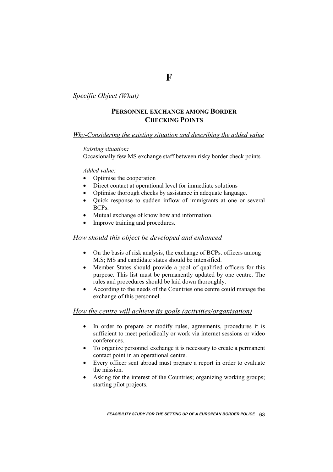*Specific Object (What)*

# **PERSONNEL EXCHANGE AMONG BORDER CHECKING POINTS**

### *Why-Considering the existing situation and describing the added value*

#### *Existing situation:*

Occasionally few MS exchange staff between risky border check points*.* 

*Added value:*

- Optimise the cooperation
- Direct contact at operational level for immediate solutions
- Optimise thorough checks by assistance in adequate language.
- Quick response to sudden inflow of immigrants at one or several BCPs.
- Mutual exchange of know how and information.
- Improve training and procedures.

### *How should this object be developed and enhanced*

- On the basis of risk analysis, the exchange of BCPs. officers among M.S; MS and candidate states should be intensified.
- Member States should provide a pool of qualified officers for this purpose. This list must be permanently updated by one centre. The rules and procedures should be laid down thoroughly.
- According to the needs of the Countries one centre could manage the exchange of this personnel.

### *How the centre will achieve its goals (activities/organisation)*

- In order to prepare or modify rules, agreements, procedures it is sufficient to meet periodically or work via internet sessions or video conferences.
- To organize personnel exchange it is necessary to create a permanent contact point in an operational centre.
- Every officer sent abroad must prepare a report in order to evaluate the mission.
- Asking for the interest of the Countries; organizing working groups; starting pilot projects.

*FEASIBILITY STUDY FOR THE SETTING UP OF A EUROPEAN BORDER POLICE* 63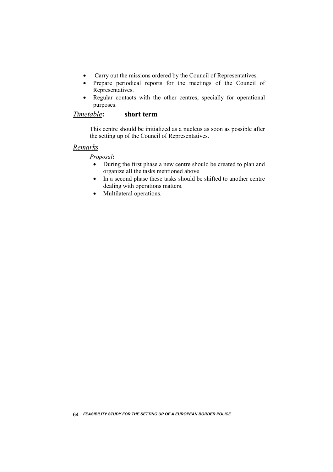- Carry out the missions ordered by the Council of Representatives.
- Prepare periodical reports for the meetings of the Council of Representatives.
- Regular contacts with the other centres, specially for operational purposes.

# *Timetable***: short term**

This centre should be initialized as a nucleus as soon as possible after the setting up of the Council of Representatives.

## *Remarks*

*Proposal***:** 

- During the first phase a new centre should be created to plan and organize all the tasks mentioned above
- In a second phase these tasks should be shifted to another centre dealing with operations matters.
- Multilateral operations.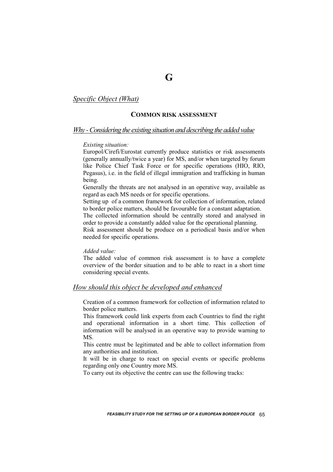*Specific Object (What)*

### **COMMON RISK ASSESSMENT**

### *Why - Considering the existing situation and describing the added value*

### *Existing situation:*

Europol/Cirefi/Eurostat currently produce statistics or risk assessments (generally annually/twice a year) for MS, and/or when targeted by forum like Police Chief Task Force or for specific operations (HIO, RIO, Pegasus), i.e. in the field of illegal immigration and trafficking in human being.

Generally the threats are not analysed in an operative way, available as regard as each MS needs or for specific operations.

Setting up of a common framework for collection of information, related to border police matters, should be favourable for a constant adaptation.

The collected information should be centrally stored and analysed in order to provide a constantly added value for the operational planning.

Risk assessment should be produce on a periodical basis and/or when needed for specific operations.

#### *Added value:*

The added value of common risk assessment is to have a complete overview of the border situation and to be able to react in a short time considering special events.

## *How should this object be developed and enhanced*

Creation of a common framework for collection of information related to border police matters.

This framework could link experts from each Countries to find the right and operational information in a short time. This collection of information will be analysed in an operative way to provide warning to MS.

This centre must be legitimated and be able to collect information from any authorities and institution.

It will be in charge to react on special events or specific problems regarding only one Country more MS.

To carry out its objective the centre can use the following tracks: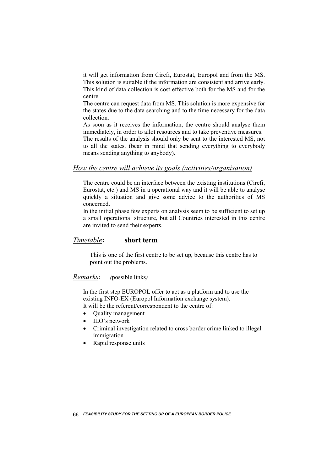it will get information from Cirefi, Eurostat, Europol and from the MS. This solution is suitable if the information are consistent and arrive early. This kind of data collection is cost effective both for the MS and for the centre.

The centre can request data from MS. This solution is more expensive for the states due to the data searching and to the time necessary for the data collection.

As soon as it receives the information, the centre should analyse them immediately, in order to allot resources and to take preventive measures.

The results of the analysis should only be sent to the interested MS, not to all the states. (bear in mind that sending everything to everybody means sending anything to anybody).

### *How the centre will achieve its goals (activities/organisation)*

The centre could be an interface between the existing institutions (Cirefi, Eurostat, etc.) and MS in a operational way and it will be able to analyse quickly a situation and give some advice to the authorities of MS concerned.

In the initial phase few experts on analysis seem to be sufficient to set up a small operational structure, but all Countries interested in this centre are invited to send their experts.

# *Timetable***: short term**

This is one of the first centre to be set up, because this centre has to point out the problems.

### *Remarks: (*possible links*)*

In the first step EUROPOL offer to act as a platform and to use the existing INFO-EX (Europol Information exchange system). It will be the referent/correspondent to the centre of:

- Quality management
- ILO's network
- Criminal investigation related to cross border crime linked to illegal immigration
- Rapid response units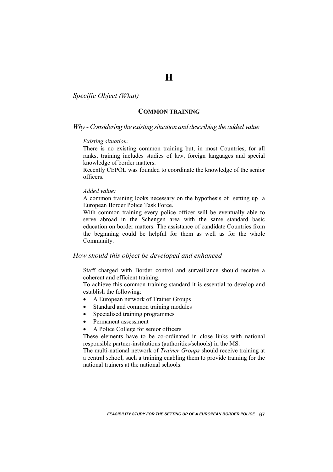*Specific Object (What)*

#### **COMMON TRAINING**

### *Why - Considering the existing situation and describing the added value*

#### *Existing situation:*

There is no existing common training but, in most Countries, for all ranks, training includes studies of law, foreign languages and special knowledge of border matters.

Recently CEPOL was founded to coordinate the knowledge of the senior officers.

#### *Added value:*

A common training looks necessary on the hypothesis of setting up a European Border Police Task Force.

With common training every police officer will be eventually able to serve abroad in the Schengen area with the same standard basic education on border matters. The assistance of candidate Countries from the beginning could be helpful for them as well as for the whole Community.

# *How should this object be developed and enhanced*

Staff charged with Border control and surveillance should receive a coherent and efficient training.

To achieve this common training standard it is essential to develop and establish the following:

- A European network of Trainer Groups
- Standard and common training modules
- Specialised training programmes
- Permanent assessment
- A Police College for senior officers

These elements have to be co-ordinated in close links with national responsible partner-institutions (authorities/schools) in the MS.

The multi-national network of *Trainer Groups* should receive training at a central school, such a training enabling them to provide training for the national trainers at the national schools.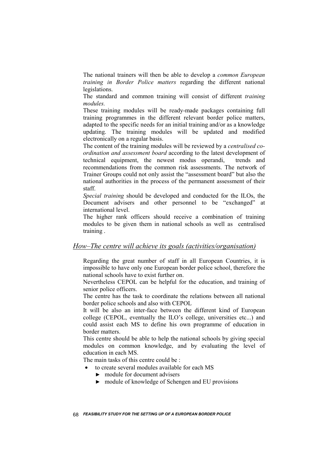The national trainers will then be able to develop a *common European training in Border Police matters* regarding the different national legislations.

The standard and common training will consist of different *training modules.* 

These training modules will be ready-made packages containing full training programmes in the different relevant border police matters, adapted to the specific needs for an initial training and/or as a knowledge updating. The training modules will be updated and modified electronically on a regular basis.

The content of the training modules will be reviewed by a *centralised coordination and assessment board* according to the latest development of technical equipment, the newest modus operandi, trends and recommendations from the common risk assessments. The network of Trainer Groups could not only assist the "assessment board" but also the national authorities in the process of the permanent assessment of their staff.

*Special training* should be developed and conducted for the ILOs, the Document advisers and other personnel to be "exchanged" at international level.

The higher rank officers should receive a combination of training modules to be given them in national schools as well as centralised training .

# *How–The centre will achieve its goals (activities/organisation)*

Regarding the great number of staff in all European Countries, it is impossible to have only one European border police school, therefore the national schools have to exist further on.

Nevertheless CEPOL can be helpful for the education, and training of senior police officers.

The centre has the task to coordinate the relations between all national border police schools and also with CEPOL

It will be also an inter-face between the different kind of European college (CEPOL, eventually the ILO's college, universities etc...) and could assist each MS to define his own programme of education in border matters.

This centre should be able to help the national schools by giving special modules on common knowledge, and by evaluating the level of education in each MS.

The main tasks of this centre could be :

- to create several modules available for each MS
	- ► module for document advisers
	- ► module of knowledge of Schengen and EU provisions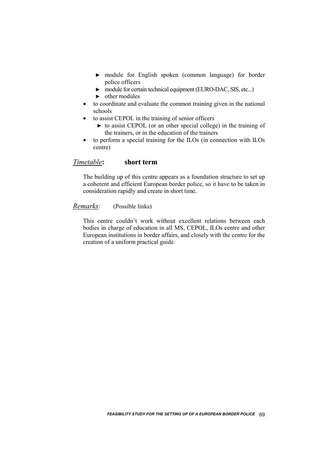- ► module for English spoken (common language) for border police officers
- ► module for certain technical equipment (EURO-DAC, SIS, etc...)
- ► other modules
- to coordinate and evaluate the common training given in the national schools
- to assist CEPOL in the training of senior officers
	- ► to assist CEPOL (or an other special college) in the training of the trainers, or in the education of the trainers
- to perform a special training for the ILOs (in connection with ILOs centre)

# *Timetable***: short term**

The building up of this centre appears as a foundation structure to set up a coherent and efficient European border police, so it have to be taken in consideration rapidly and create in short time.

# *Remarks*: (Possible links)

This centre couldn't work without excellent relations between each bodies in charge of education in all MS, CEPOL, ILOs centre and other European institutions in border affairs, and closely with the centre for the creation of a uniform practical guide.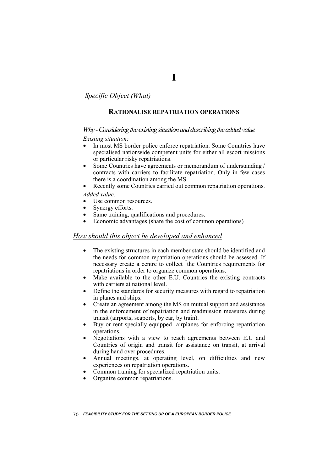*Specific Object (What)*

### **RATIONALISE REPATRIATION OPERATIONS**

#### *Why - Considering the existing situation and describing the added value*

#### *Existing situation:*

- In most MS border police enforce repatriation. Some Countries have specialised nationwide competent units for either all escort missions or particular risky repatriations.
- Some Countries have agreements or memorandum of understanding / contracts with carriers to facilitate repatriation. Only in few cases there is a coordination among the MS.

Recently some Countries carried out common repatriation operations.

*Added value:*

- Use common resources.
- Synergy efforts.
- Same training, qualifications and procedures.
- Economic advantages (share the cost of common operations)

# *How should this object be developed and enhanced*

- The existing structures in each member state should be identified and the needs for common repatriation operations should be assessed. If necessary create a centre to collect the Countries requirements for repatriations in order to organize common operations.
- Make available to the other E.U. Countries the existing contracts with carriers at national level.
- Define the standards for security measures with regard to repatriation in planes and ships.
- Create an agreement among the MS on mutual support and assistance in the enforcement of repatriation and readmission measures during transit (airports, seaports, by car, by train).
- Buy or rent specially equipped airplanes for enforcing repatriation operations.
- Negotiations with a view to reach agreements between E.U and Countries of origin and transit for assistance on transit, at arrival during hand over procedures.
- Annual meetings, at operating level, on difficulties and new experiences on repatriation operations.
- Common training for specialized repatriation units.
- Organize common repatriations.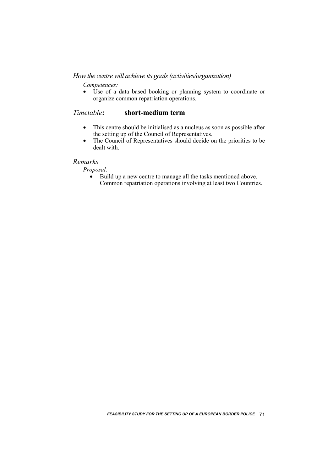# *How the centre will achieve its goals (activities/organization)*

*Competences:*

• Use of a data based booking or planning system to coordinate or organize common repatriation operations.

# *Timetable***: short-medium term**

- This centre should be initialised as a nucleus as soon as possible after the setting up of the Council of Representatives.
- The Council of Representatives should decide on the priorities to be dealt with.

### *Remarks*

*Proposal:*

• Build up a new centre to manage all the tasks mentioned above. Common repatriation operations involving at least two Countries.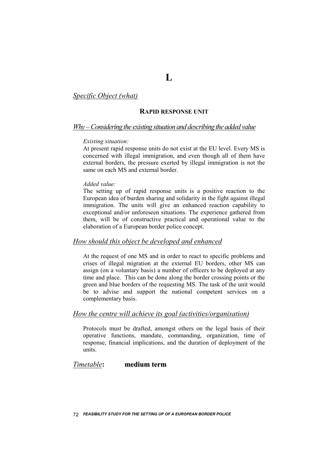*Specific Object (what)*

### **RAPID RESPONSE UNIT**

## *Why – Considering the existing situation and describing the added value*

#### *Existing situation:*

At present rapid response units do not exist at the EU level. Every MS is concerned with illegal immigration, and even though all of them have external borders, the pressure exerted by illegal immigration is not the same on each MS and external border.

#### *Added value:*

The setting up of rapid response units is a positive reaction to the European idea of burden sharing and solidarity in the fight against illegal immigration. The units will give an enhanced reaction capability to exceptional and/or unforeseen situations. The experience gathered from them, will be of constructive practical and operational value to the elaboration of a European border police concept.

# *How should this object be developed and enhanced*

At the request of one MS and in order to react to specific problems and crises of illegal migration at the external EU borders, other MS can assign (on a voluntary basis) a number of officers to be deployed at any time and place. This can be done along the border crossing points or the green and blue borders of the requesting MS. The task of the unit would be to advise and support the national competent services on a complementary basis.

## *How the centre will achieve its goal (activities/organisation)*

Protocols must be drafted, amongst others on the legal basis of their operative functions, mandate, commanding, organization, time of response, financial implications, and the duration of deployment of the units.

*Timetable***: medium term**

72 *FEASIBILITY STUDY FOR THE SETTING UP OF A EUROPEAN BORDER POLICE*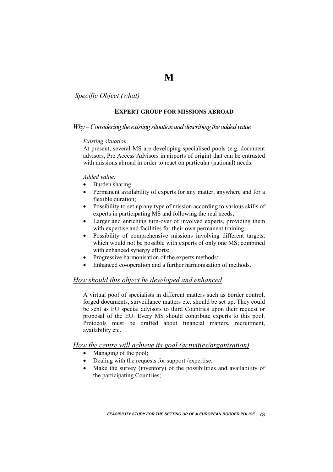*Specific Object (what)*

# **EXPERT GROUP FOR MISSIONS ABROAD**

# *Why – Considering the existing situation and describing the added value*

### *Existing situation:*

At present, several MS are developing specialised pools (e.g. document advisors, Pre Access Advisors in airports of origin) that can be entrusted with missions abroad in order to react on particular (national) needs.

### *Added value:*

- Burden sharing
- Permanent availability of experts for any matter, anywhere and for a flexible duration;
- Possibility to set up any type of mission according to various skills of experts in participating MS and following the real needs;
- Larger and enriching turn-over of involved experts, providing them with expertise and facilities for their own permanent training;
- Possibility of comprehensive missions involving different targets, which would not be possible with experts of only one MS; combined with enhanced synergy efforts;
- Progressive harmonisation of the experts methods;
- Enhanced co-operation and a further harmonisation of methods.

# *How should this object be developed and enhanced*

A virtual pool of specialists in different matters such as border control, forged documents, surveillance matters etc. should be set up. They could be sent as EU special advisors to third Countries upon their request or proposal of the EU. Every MS should contribute experts to this pool. Protocols must be drafted about financial matters, recruitment, availability etc.

# *How the centre will achieve its goal (activities/organisation)*

- Managing of the pool;
- Dealing with the requests for support /expertise;
- Make the survey (inventory) of the possibilities and availability of the participating Countries;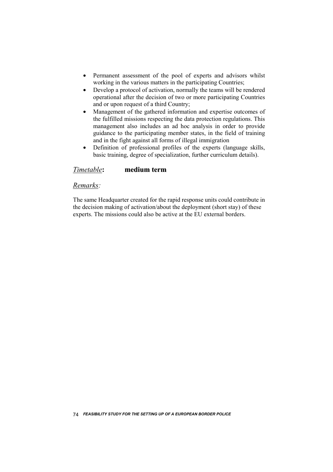- Permanent assessment of the pool of experts and advisors whilst working in the various matters in the participating Countries;
- Develop a protocol of activation, normally the teams will be rendered operational after the decision of two or more participating Countries and or upon request of a third Country;
- Management of the gathered information and expertise outcomes of the fulfilled missions respecting the data protection regulations. This management also includes an ad hoc analysis in order to provide guidance to the participating member states, in the field of training and in the fight against all forms of illegal immigration
- Definition of professional profiles of the experts (language skills, basic training, degree of specialization, further curriculum details).

### *Timetable***: medium term**

#### *Remarks:*

The same Headquarter created for the rapid response units could contribute in the decision making of activation/about the deployment (short stay) of these experts. The missions could also be active at the EU external borders.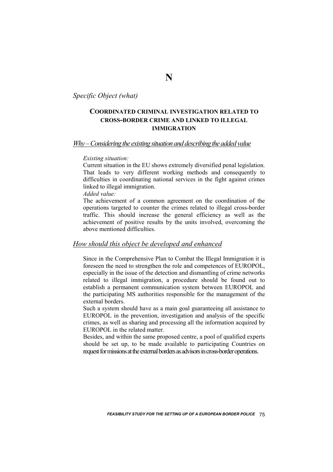# **N**

*Specific Object (what)* 

# **COORDINATED CRIMINAL INVESTIGATION RELATED TO CROSS-BORDER CRIME AND LINKED TO ILLEGAL IMMIGRATION**

#### *Why – Considering the existing situation and describing the added value*

#### *Existing situation:*

Current situation in the EU shows extremely diversified penal legislation. That leads to very different working methods and consequently to difficulties in coordinating national services in the fight against crimes linked to illegal immigration.

*Added value:*

The achievement of a common agreement on the coordination of the operations targeted to counter the crimes related to illegal cross-border traffic. This should increase the general efficiency as well as the achievement of positive results by the units involved, overcoming the above mentioned difficulties.

### *How should this object be developed and enhanced*

Since in the Comprehensive Plan to Combat the Illegal Immigration it is foreseen the need to strengthen the role and competences of EUROPOL, especially in the issue of the detection and dismantling of crime networks related to illegal immigration, a procedure should be found out to establish a permanent communication system between EUROPOL and the participating MS authorities responsible for the management of the external borders.

Such a system should have as a main goal guaranteeing all assistance to EUROPOL in the prevention, investigation and analysis of the specific crimes, as well as sharing and processing all the information acquired by EUROPOL in the related matter.

Besides, and within the same proposed centre, a pool of qualified experts should be set up, to be made available to participating Countries on request for missions at the external borders as advisors in cross-border operations.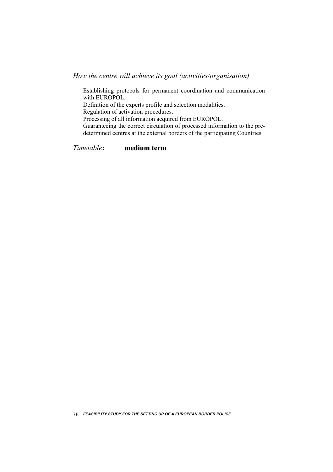Establishing protocols for permanent coordination and communication with EUROPOL.

Definition of the experts profile and selection modalities.

Regulation of activation procedures.

Processing of all information acquired from EUROPOL.

Guaranteeing the correct circulation of processed information to the predetermined centres at the external borders of the participating Countries.

*Timetable***: medium term**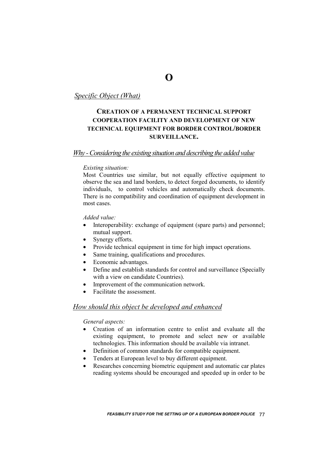# *Specific Object (What)*

# **CREATION OF A PERMANENT TECHNICAL SUPPORT COOPERATION FACILITY AND DEVELOPMENT OF NEW TECHNICAL EQUIPMENT FOR BORDER CONTROL/BORDER SURVEILLANCE.**

#### *Why - Considering the existing situation and describing the added value*

#### *Existing situation:*

Most Countries use similar, but not equally effective equipment to observe the sea and land borders, to detect forged documents, to identify individuals, to control vehicles and automatically check documents. There is no compatibility and coordination of equipment development in most cases.

#### *Added value:*

- Interoperability: exchange of equipment (spare parts) and personnel; mutual support.
- Synergy efforts.
- Provide technical equipment in time for high impact operations.
- Same training, qualifications and procedures.
- Economic advantages.
- Define and establish standards for control and surveillance (Specially with a view on candidate Countries).
- Improvement of the communication network.
- Facilitate the assessment.

### *How should this object be developed and enhanced*

### *General aspects:*

- Creation of an information centre to enlist and evaluate all the existing equipment, to promote and select new or available technologies. This information should be available via intranet.
- Definition of common standards for compatible equipment.
- Tenders at European level to buy different equipment.
- Researches concerning biometric equipment and automatic car plates reading systems should be encouraged and speeded up in order to be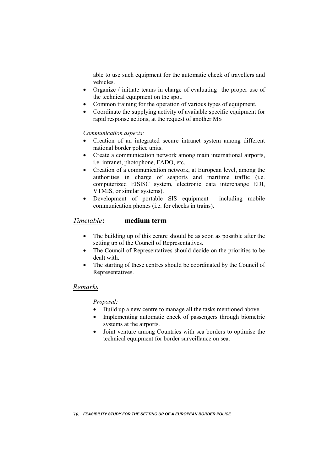able to use such equipment for the automatic check of travellers and vehicles.

- Organize / initiate teams in charge of evaluating the proper use of the technical equipment on the spot.
- Common training for the operation of various types of equipment.
- Coordinate the supplying activity of available specific equipment for rapid response actions, at the request of another MS

#### *Communication aspects:*

- Creation of an integrated secure intranet system among different national border police units.
- Create a communication network among main international airports, i.e. intranet, photophone, FADO, etc.
- Creation of a communication network, at European level, among the authorities in charge of seaports and maritime traffic (i.e. computerized EISISC system, electronic data interchange EDI, VTMIS, or similar systems).
- Development of portable SIS equipment including mobile communication phones (i.e. for checks in trains).

### *Timetable***: medium term**

- The building up of this centre should be as soon as possible after the setting up of the Council of Representatives.
- The Council of Representatives should decide on the priorities to be dealt with.
- The starting of these centres should be coordinated by the Council of Representatives.

### *Remarks*

#### *Proposal:*

- Build up a new centre to manage all the tasks mentioned above.
- Implementing automatic check of passengers through biometric systems at the airports.
- Joint venture among Countries with sea borders to optimise the technical equipment for border surveillance on sea.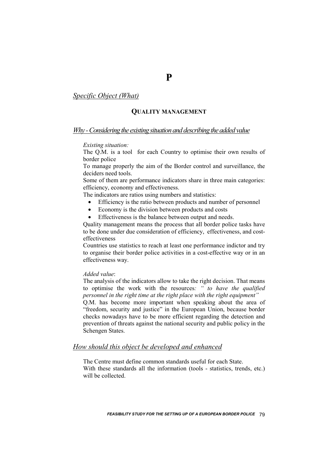*Specific Object (What)*

#### **QUALITY MANAGEMENT**

#### *Why - Considering the existing situation and describing the added value*

#### *Existing situation:*

The Q.M. is a tool for each Country to optimise their own results of border police

To manage properly the aim of the Border control and surveillance, the deciders need tools.

Some of them are performance indicators share in three main categories: efficiency, economy and effectiveness.

The indicators are ratios using numbers and statistics:

- Efficiency is the ratio between products and number of personnel
- Economy is the division between products and costs
- Effectiveness is the balance between output and needs.

Quality management means the process that all border police tasks have to be done under due consideration of efficiency, effectiveness, and costeffectiveness

Countries use statistics to reach at least one performance indictor and try to organise their border police activities in a cost-effective way or in an effectiveness way.

#### *Added value*:

The analysis of the indicators allow to take the right decision. That means to optimise the work with the resources*: " to have the qualified personnel in the right time at the right place with the right equipment"*  Q.M. has become more important when speaking about the area of "freedom, security and justice" in the European Union, because border checks nowadays have to be more efficient regarding the detection and prevention of threats against the national security and public policy in the Schengen States.

### *How should this object be developed and enhanced*

The Centre must define common standards useful for each State. With these standards all the information (tools - statistics, trends, etc.) will be collected.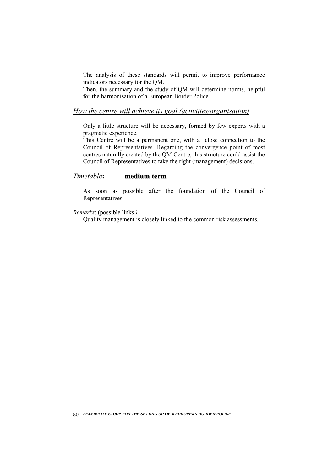The analysis of these standards will permit to improve performance indicators necessary for the QM.

Then, the summary and the study of QM will determine norms, helpful for the harmonisation of a European Border Police.

### *How the centre will achieve its goal (activities/organisation)*

Only a little structure will be necessary, formed by few experts with a pragmatic experience.

This Centre will be a permanent one, with a close connection to the Council of Representatives. Regarding the convergence point of most centres naturally created by the QM Centre, this structure could assist the Council of Representatives to take the right (management) decisions.

### *Timetable***: medium term**

As soon as possible after the foundation of the Council of Representatives

#### *Remarks*: (possible links *)*

Quality management is closely linked to the common risk assessments.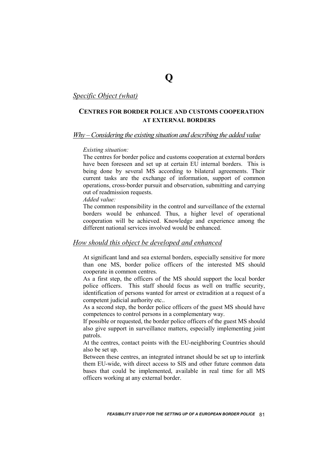### *Specific Object (what)*

### **CENTRES FOR BORDER POLICE AND CUSTOMS COOPERATION AT EXTERNAL BORDERS**

#### *Why – Considering the existing situation and describing the added value*

#### *Existing situation:*

The centres for border police and customs cooperation at external borders have been foreseen and set up at certain EU internal borders. This is being done by several MS according to bilateral agreements. Their current tasks are the exchange of information, support of common operations, cross-border pursuit and observation, submitting and carrying out of readmission requests.

*Added value:*

The common responsibility in the control and surveillance of the external borders would be enhanced. Thus, a higher level of operational cooperation will be achieved. Knowledge and experience among the different national services involved would be enhanced.

### *How should this object be developed and enhanced*

At significant land and sea external borders, especially sensitive for more than one MS, border police officers of the interested MS should cooperate in common centres.

As a first step, the officers of the MS should support the local border police officers. This staff should focus as well on traffic security, identification of persons wanted for arrest or extradition at a request of a competent judicial authority etc..

As a second step, the border police officers of the guest MS should have competences to control persons in a complementary way.

If possible or requested, the border police officers of the guest MS should also give support in surveillance matters, especially implementing joint patrols.

At the centres, contact points with the EU-neighboring Countries should also be set up.

Between these centres, an integrated intranet should be set up to interlink them EU-wide, with direct access to SIS and other future common data bases that could be implemented, available in real time for all MS officers working at any external border.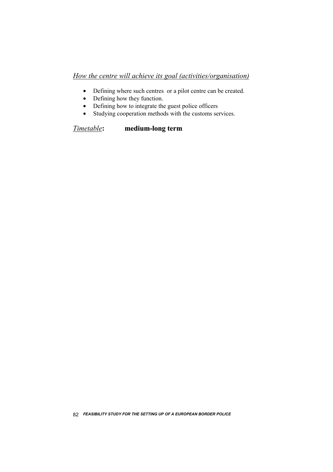- Defining where such centres or a pilot centre can be created.
- Defining how they function.
- Defining how to integrate the guest police officers
- Studying cooperation methods with the customs services.

# *Timetable***: medium-long term**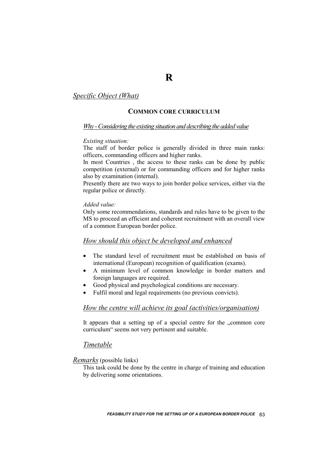*Specific Object (What)*

#### **COMMON CORE CURRICULUM**

#### *Why - Considering the existing situation and describing the added value*

#### *Existing situation:*

The staff of border police is generally divided in three main ranks: officers, commanding officers and higher ranks.

In most Countries , the access to these ranks can be done by public competition (external) or for commanding officers and for higher ranks also by examination (internal).

Presently there are two ways to join border police services, either via the regular police or directly.

#### *Added value:*

Only some recommendations, standards and rules have to be given to the MS to proceed an efficient and coherent recruitment with an overall view of a common European border police.

#### *How should this object be developed and enhanced*

- The standard level of recruitment must be established on basis of international (European) recognition of qualification (exams).
- A minimum level of common knowledge in border matters and foreign languages are required.
- Good physical and psychological conditions are necessary.
- Fulfil moral and legal requirements (no previous convicts).

### *How the centre will achieve its goal (activities/organisation)*

It appears that a setting up of a special centre for the ...common core curriculum" seems not very pertinent and suitable.

#### *Timetable*

#### *Remarks* (possible links)

This task could be done by the centre in charge of training and education by delivering some orientations.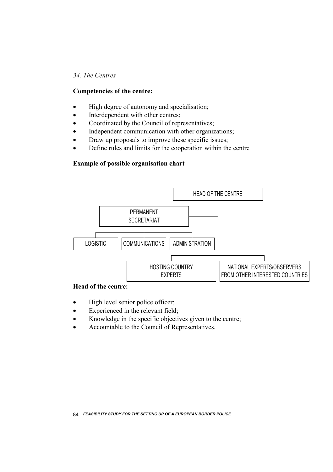# *34. The Centres*

### **Competencies of the centre:**

- High degree of autonomy and specialisation;
- Interdependent with other centres;
- Coordinated by the Council of representatives;
- Independent communication with other organizations;
- Draw up proposals to improve these specific issues;
- Define rules and limits for the cooperation within the centre

### **Example of possible organisation chart**



## **Head of the centre:**

- High level senior police officer;
- Experienced in the relevant field;
- Knowledge in the specific objectives given to the centre;
- Accountable to the Council of Representatives.